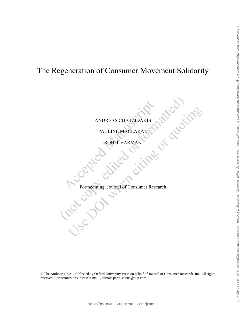## The Regeneration of Consumer Movement Solidarity

#### ANDREAS CHATZIDAKIS

OF ALLOWER

PAULINE MACLARAN

ROHIT VARMAN

### Forthcoming, Journal of Consumer Research

© The Author(s) 2021. Published by Oxford University Press on behalf of Journal of Consumer Research, Inc. All rights reserved. For permissions, please e-mail: journals.permissions@oup.com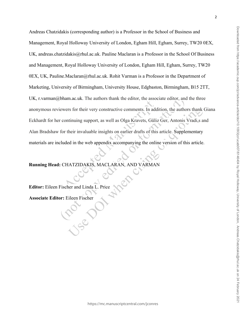Andreas Chatzidakis (corresponding author) is a Professor in the School of Business and Management, Royal Holloway University of London, Egham Hill, Egham, Surrey, TW20 0EX, UK, andreas.chatzidakis@rhul.ac.uk. Pauline Maclaran is a Professor in the School Of Business and Management, Royal Holloway University of London, Egham Hill, Egham, Surrey, TW20 0EX, UK, Pauline.Maclaran@rhul.ac.uk. Rohit Varman is a Professor in the Department of Marketing, University of Birmingham, University House, Edgbaston, Birmingham, B15 2TT, UK, r.varman@bham.ac.uk. The authors thank the editor, the associate editor, and the three anonymous reviewers for their very constructive comments. In addition, the authors thank Giana Eckhardt for her continuing support, as well as Olga Kravets, Güliz Ger, Antonis Vradi,s and Alan Bradshaw for their invaluable insights on earlier drafts of this article. Supplementary materials are included in the web appendix accompanying the online version of this article.

**Running Head:** CHATZIDAKIS, MACLARAN, AND VARMAN

**Editor:** Eileen Fischer and Linda L. Price

Lac

**Associate Editor:** Eileen Fischer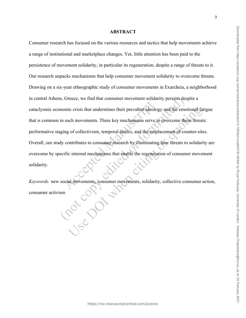# Consumer research has focused on the various resources and tactics that help movements achieve a range of institutional and marketplace changes. Yet, little attention has been paid to the

# persistence of movement solidarity, in particular its regeneration, despite a range of threats to it. Our research unpacks mechanisms that help consumer movement solidarity to overcome threats*.*  Drawing on a six-year ethnographic study of consumer movements in Exarcheia, a neighborhood in central Athens, Greece, we find that consumer movement solidarity persists despite a cataclysmic economic crisis that undermines their prevalent ideology and the emotional fatigue that is common in such movements. Three key mechanisms serve to overcome these threats: performative staging of collectivism, temporal tactics, and the emplacement of counter-sites. Overall, our study contributes to consumer research by illuminating how threats to solidarity are overcome by specific internal mechanisms that enable the regeneration of consumer movement solidarity.

**ABSTRACT**

*Keywords:* new social movements, consumer movements, solidarity, collective consumer action, consumer activism consumer activism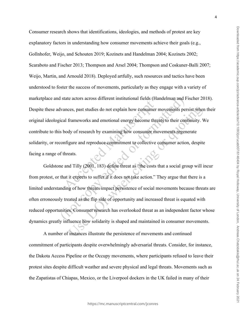Consumer research shows that identifications, ideologies, and methods of protest are key explanatory factors in understanding how consumer movements achieve their goals (e.g., Gollnhofer, Weijo, and Schouten 2019; Kozinets and Handelman 2004; Kozinets 2002; Scaraboto and Fischer 2013; Thompson and Arsel 2004; Thompson and Coskuner-Balli 2007; Weijo, Martin, and Arnould 2018). Deployed artfully, such resources and tactics have been understood to foster the success of movements, particularly as they engage with a variety of marketplace and state actors across different institutional fields (Handelman and Fischer 2018). Despite these advances, past studies do not explain how consumer movements persist when their original ideological frameworks and emotional energy become threats to their continuity. We contribute to this body of research by examining how consumer movements regenerate solidarity, or reconfigure and reproduce commitment to collective consumer action, despite facing a range of threats.

Goldstone and Tilly (2001, 183) define threat as "the costs that a social group will incur from protest, or that it expects to suffer if it does not take action." They argue that there is a limited understanding of how threats impact persistence of social movements because threats are often erroneously treated as the flip side of opportunity and increased threat is equated with reduced opportunities. Consumer research has overlooked threat as an independent factor whose dynamics greatly influence how solidarity is shaped and maintained in consumer movements.

A number of instances illustrate the persistence of movements and continued commitment of participants despite overwhelmingly adversarial threats. Consider, for instance, the Dakota Access Pipeline or the Occupy movements, where participants refused to leave their protest sites despite difficult weather and severe physical and legal threats. Movements such as the Zapatistas of Chiapas, Mexico, or the Liverpool dockers in the UK failed in many of their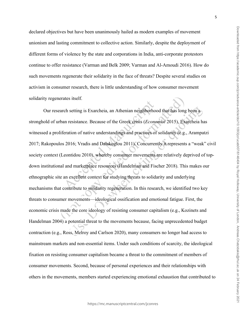declared objectives but have been unanimously hailed as modern examples of movement unionism and lasting commitment to collective action. Similarly, despite the deployment of different forms of violence by the state and corporations in India, anti-corporate protestors continue to offer resistance (Varman and Belk 2009; Varman and Al-Amoudi 2016). How do such movements regenerate their solidarity in the face of threats? Despite several studies on activism in consumer research, there is little understanding of how consumer movement solidarity regenerates itself.

Our research setting is Exarcheia, an Athenian neighborhood that has long been a stronghold of urban resistance. Because of the Greek crisis (*Economist* 2015), Exarcheia has witnessed a proliferation of native understandings and practices of solidarity (e.g., Arampatzi 2017; Rakopoulos 2016; Vradis and Dalakoglou 2011). Concurrently it represents a "weak" civil society context (Leontidou 2010), whereby consumer movements are relatively deprived of topdown institutional and marketplace resources (Handelman and Fischer 2018). This makes our ethnographic site an excellent context for studying threats to solidarity and underlying mechanisms that contribute to solidarity regeneration. In this research, we identified two key threats to consumer movements—ideological ossification and emotional fatigue. First, the economic crisis made the core ideology of resisting consumer capitalism (e.g., Kozinets and Handelman 2004) a potential threat to the movements because, facing unprecedented budget contraction (e.g., Ross, Melroy and Carlson 2020), many consumers no longer had access to mainstream markets and non-essential items. Under such conditions of scarcity, the ideological fixation on resisting consumer capitalism became a threat to the commitment of members of consumer movements. Second, because of personal experiences and their relationships with others in the movements, members started experiencing emotional exhaustion that contributed to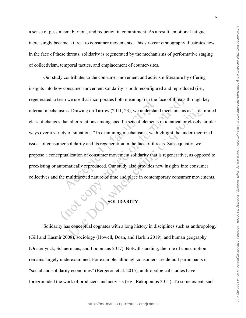a sense of pessimism, burnout, and reduction in commitment. As a result, emotional fatigue increasingly became a threat to consumer movements. This six-year ethnography illustrates how in the face of these threats, solidarity is regenerated by the mechanisms of performative staging of collectivism, temporal tactics, and emplacement of counter-sites.

Our study contributes to the consumer movement and activism literature by offering insights into how consumer movement solidarity is both reconfigured and reproduced (i.e., regenerated, a term we use that incorporates both meanings) in the face of threats through key internal mechanisms. Drawing on Tarrow (2011, 23), we understand mechanisms as "a delimited class of changes that alter relations among specific sets of elements in identical or closely similar ways over a variety of situations." In examining mechanisms, we highlight the under-theorized issues of consumer solidarity and its regeneration in the face of threats. Subsequently, we propose a conceptualization of consumer movement solidarity that is regenerative, as opposed to preexisting or automatically reproduced. Our study also provides new insights into consumer collectives and the multifaceted nature of time and place in contemporary consumer movements.

#### **SOLIDARITY**

Solidarity has conceptual cognates with a long history in disciplines such as anthropology (Gill and Kasmir 2008), sociology (Howell, Doan, and Harbin 2019), and human geography (Oosterlynck, Schuermans, and Loopmans 2017). Notwithstanding, the role of consumption remains largely underexamined. For example, although consumers are default participants in "social and solidarity economies" (Bergeron et al. 2015), anthropological studies have foregrounded the work of producers and activists (e.g., Rakopoulos 2015). To some extent, such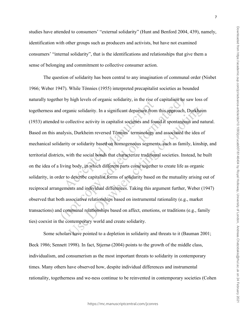studies have attended to consumers' "external solidarity" (Hunt and Benford 2004, 439), namely, identification with other groups such as producers and activists, but have not examined consumers' "internal solidarity", that is the identifications and relationships that give them a sense of belonging and commitment to collective consumer action.

The question of solidarity has been central to any imagination of communal order (Nisbet 1966; Weber 1947). While Tönnies (1955) interpreted precapitalist societies as bounded naturally together by high levels of organic solidarity, in the rise of capitalism he saw loss of togetherness and organic solidarity. In a significant departure from this approach, Durkheim (1933) attended to collective activity in capitalist societies and found it spontaneous and natural. Based on this analysis, Durkheim reversed Tönnies' terminology and associated the idea of mechanical solidarity or solidarity based on homogeneous segments, such as family, kinship, and territorial districts, with the social bonds that characterize traditional societies. Instead, he built on the idea of a living body, in which different parts come together to create life as organic solidarity, in order to describe capitalist forms of solidarity based on the mutuality arising out of reciprocal arrangements and individual differences. Taking this argument further, Weber (1947) observed that both associative relationships based on instrumental rationality (e.g., market transactions) and communal relationships based on affect, emotions, or traditions (e.g., family ties) coexist in the contemporary world and create solidarity.

Some scholars have pointed to a depletion in solidarity and threats to it (Bauman 2001; Beck 1986; Sennett 1998). In fact, Stjernø (2004) points to the growth of the middle class, individualism, and consumerism as the most important threats to solidarity in contemporary times. Many others have observed how, despite individual differences and instrumental rationality, togetherness and we-ness continue to be reinvented in contemporary societies (Cohen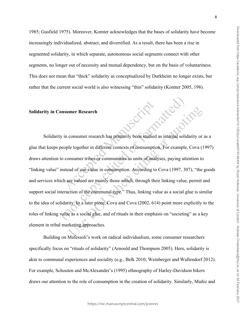1985; Gusfield 1975). Moreover, Komter acknowledges that the bases of solidarity have become increasingly individualized, abstract, and diversified. As a result, there has been a rise in segmented solidarity, in which separate, autonomous social segments connect with other segments, no longer out of necessity and mutual dependency, but on the basis of voluntariness. This does not mean that "thick" solidarity as conceptualized by Durkheim no longer exists, but rather that the current social world is also witnessing "thin" solidarity (Komter 2005, 198).

Scrip street

#### **Solidarity in Consumer Research**

Solidarity in consumer research has primarily been studied as internal solidarity or as a glue that keeps people together in different contexts of consumption. For example, Cova (1997) draws attention to consumer tribes or communities as units of analyses, paying attention to "linking value" instead of use-value in consumption. According to Cova (1997, 307), "the goods and services which are valued are mainly those which, through their linking value, permit and support social interaction of the communal type." Thus, linking value as a social glue is similar to the idea of solidarity. In a later piece, Cova and Cova (2002, 614) point more explicitly to the roles of linking value as a social glue, and of rituals in their emphasis on "societing" as a key element in tribal marketing approaches.

Building on Mafessoli's work on radical individualism, some consumer researchers specifically focus on "rituals of solidarity" (Arnould and Thompson 2005). Here, solidarity is akin to communal experiences and sociality (e.g., Belk 2010; Weinberger and Wallendorf 2012). For example, Schouten and McAlexander's (1995) ethnography of Harley-Davidson bikers draws our attention to the role of consumption in the creation of solidarity. Similarly, Muñiz and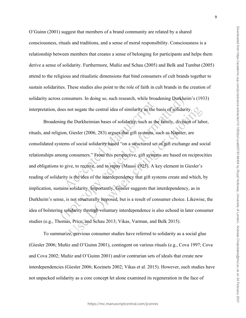O'Guinn (2001) suggest that members of a brand community are related by a shared consciousness, rituals and traditions, and a sense of moral responsibility. Consciousness is a relationship between members that creates a sense of belonging for participants and helps them derive a sense of solidarity. Furthermore, Muñiz and Schau (2005) and Belk and Tumbat (2005) attend to the religious and ritualistic dimensions that bind consumers of cult brands together to sustain solidarities. These studies also point to the role of faith in cult brands in the creation of solidarity across consumers. In doing so, such research, while broadening Durkheim's (1933) interpretation, does not negate the central idea of similarity as the basis of solidarity.

Broadening the Durkheimian bases of solidarity, such as the family, division of labor, rituals, and religion, Giesler (2006, 283) argues that gift systems, such as Napster, are consolidated systems of social solidarity based "on a structured set of gift exchange and social relationships among consumers." From this perspective, gift systems are based on reciprocities and obligations to give, to receive, and to repay (Mauss 1925). A key element in Giesler's reading of solidarity is the idea of the interdependency that gift systems create and which, by implication, sustains solidarity. Importantly, Giesler suggests that interdependency, as in Durkheim's sense, is not structurally imposed, but is a result of consumer choice. Likewise, the idea of bolstering solidarity through voluntary interdependence is also echoed in later consumer studies (e.g., Thomas, Price, and Schau 2013; Vikas, Varman, and Belk 2015).

To summarize, previous consumer studies have referred to solidarity as a social glue (Giesler 2006; Muñiz and O'Guinn 2001), contingent on various rituals (e.g., Cova 1997; Cova and Cova 2002; Muñiz and O'Guinn 2001) and/or contrarian sets of ideals that create new interdependencies (Giesler 2006; Kozinets 2002; Vikas et al. 2015). However, such studies have not unpacked solidarity as a core concept let alone examined its regeneration in the face of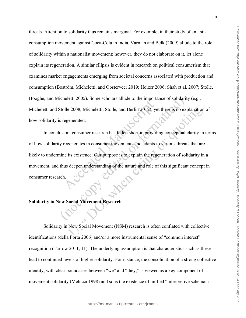threats. Attention to solidarity thus remains marginal. For example, in their study of an anticonsumption movement against Coca-Cola in India, Varman and Belk (2009) allude to the role of solidarity within a nationalist movement; however, they do not elaborate on it, let alone explain its regeneration. A similar ellipsis is evident in research on political consumerism that examines market engagements emerging from societal concerns associated with production and consumption (Boström, Micheletti, and Oosterveer 2019; Holzer 2006; Shah et al. 2007; Stolle, Hooghe, and Micheletti 2005). Some scholars allude to the importance of solidarity (e.g., Micheletti and Stolle 2008; Micheletti, Stolle, and Berlin 2012), yet there is no explanation of how solidarity is regenerated.

In conclusion, consumer research has fallen short in providing conceptual clarity in terms of how solidarity regenerates in consumer movements and adapts to various threats that are likely to undermine its existence. Our purpose is to explain the regeneration of solidarity in a movement, and thus deepen understanding of the nature and role of this significant concept in consumer research.

#### **Solidarity in New Social Movement Research**

Solidarity in New Social Movement (NSM) research is often conflated with collective identifications (della Porta 2006) and/or a more instrumental sense of "common interest" recognition (Tarrow 2011, 11). The underlying assumption is that characteristics such as these lead to continued levels of higher solidarity. For instance, the consolidation of a strong collective identity, with clear boundaries between "we" and "they," is viewed as a key component of movement solidarity (Melucci 1998) and so is the existence of unified "interpretive schemata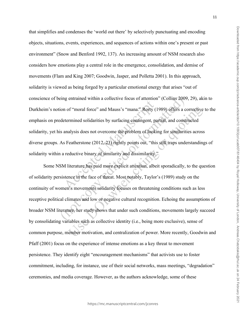that simplifies and condenses the 'world out there' by selectively punctuating and encoding objects, situations, events, experiences, and sequences of actions within one's present or past environment" (Snow and Benford 1992, 137). An increasing amount of NSM research also considers how emotions play a central role in the emergence, consolidation, and demise of movements (Flam and King 2007; Goodwin, Jasper, and Polletta 2001). In this approach, solidarity is viewed as being forged by a particular emotional energy that arises "out of conscience of being entrained within a collective focus of attention" (Collins 2009, 29), akin to Durkheim's notion of "moral force" and Mauss's "mana." Rorty (1989) offers a corrective to the emphasis on predetermined solidarities by surfacing contingent, partial, and constructed solidarity, yet his analysis does not overcome the problem of looking for similarities across diverse groups. As Featherstone (2012, 23) rightly points out, "this still traps understandings of solidarity within a reductive binary of similarity and dissimilarity."

Some NSM literature has paid more explicit attention, albeit sporadically, to the question of solidarity persistence in the face of threat. Most notably, Taylor's (1989) study on the continuity of women's movements solidarity focuses on threatening conditions such as less receptive political climates and low or negative cultural recognition. Echoing the assumptions of broader NSM literature, her study shows that under such conditions, movements largely succeed by consolidating variables such as collective identity (i.e., being more exclusive), sense of common purpose, member motivation, and centralization of power. More recently, Goodwin and Pfaff (2001) focus on the experience of intense emotions as a key threat to movement persistence. They identify eight "encouragement mechanisms" that activists use to foster commitment, including, for instance, use of their social networks, mass meetings, "degradation" ceremonies, and media coverage. However, as the authors acknowledge, some of these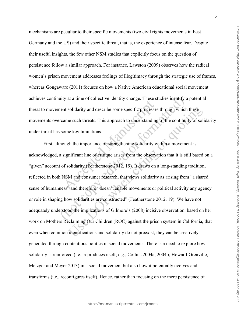mechanisms are peculiar to their specific movements (two civil rights movements in East Germany and the US) and their specific threat, that is, the experience of intense fear. Despite their useful insights, the few other NSM studies that explicitly focus on the question of persistence follow a similar approach. For instance, Lawston (2009) observes how the radical women's prison movement addresses feelings of illegitimacy through the strategic use of frames, whereas Gongaware (2011) focuses on how a Native American educational social movement achieves continuity at a time of collective identity change. These studies identify a potential threat to movement solidarity and describe some specific processes through which these movements overcame such threats. This approach to understanding of the continuity of solidarity under threat has some key limitations.

First, although the importance of strengthening solidarity within a movement is acknowledged, a significant line of critique arises from the observation that it is still based on a "given" account of solidarity (Featherstone 2012, 19). It draws on a long-standing tradition, reflected in both NSM and consumer research, that views solidarity as arising from "a shared sense of humanness" and therefore "doesn't enable movements or political activity any agency or role in shaping how solidarities are constructed" (Featherstone 2012, 19). We have not adequately understood the implications of Gilmore's (2008) incisive observation, based on her work on Mothers Reclaiming Our Children (ROC) against the prison system in California, that even when common identifications and solidarity do not preexist, they can be creatively generated through contentious politics in social movements. There is a need to explore how solidarity is reinforced (i.e., reproduces itself; e.g., Collins 2004a, 2004b; Howard-Grenville, Metzger and Meyer 2013) in a social movement but also how it potentially evolves and transforms (i.e., reconfigures itself). Hence, rather than focusing on the mere persistence of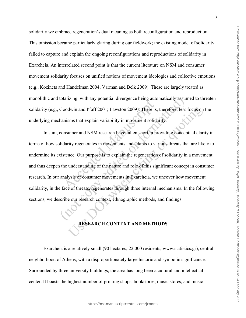solidarity we embrace regeneration's dual meaning as both reconfiguration and reproduction. This omission became particularly glaring during our fieldwork; the existing model of solidarity failed to capture and explain the ongoing reconfigurations and reproductions of solidarity in Exarcheia. An interrelated second point is that the current literature on NSM and consumer movement solidarity focuses on unified notions of movement ideologies and collective emotions (e.g., Kozinets and Handelman 2004; Varman and Belk 2009). These are largely treated as monolithic and totalizing, with any potential divergence being automatically assumed to threaten solidarity (e.g., Goodwin and Pfaff 2001; Lawston 2009). There is, therefore, less focus on the underlying mechanisms that explain variability in movement solidarity.

In sum, consumer and NSM research have fallen short in providing conceptual clarity in terms of how solidarity regenerates in movements and adapts to various threats that are likely to undermine its existence. Our purpose is to explain the regeneration of solidarity in a movement, and thus deepen the understanding of the nature and role of this significant concept in consumer research. In our analysis of consumer movements in Exarcheia, we uncover how movement solidarity, in the face of threats, regenerates through three internal mechanisms. In the following sections, we describe our research context, ethnographic methods, and findings.

#### **RESEARCH CONTEXT AND METHODS**

Exarcheia is a relatively small (90 hectares; 22,000 residents; www.statistics.gr), central neighborhood of Athens, with a disproportionately large historic and symbolic significance. Surrounded by three university buildings, the area has long been a cultural and intellectual center. It boasts the highest number of printing shops, bookstores, music stores, and music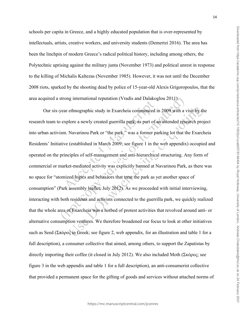schools per capita in Greece, and a highly educated population that is over-represented by intellectuals, artists, creative workers, and university students (Demertzi 2016). The area has been the linchpin of modern Greece's radical political history, including among others, the Polytechnic uprising against the military junta (November 1973) and political unrest in response to the killing of Michalis Kaltezas (November 1985). However, it was not until the December 2008 riots, sparked by the shooting dead by police of 15-year-old Alexis Grigoropoulos, that the area acquired a strong international reputation (Vradis and Dalakoglou 2011).

Our six-year ethnographic study in Exarcheia commenced in 2009 with a visit by the research team to explore a newly created guerrilla park, as part of an intended research project into urban activism. Navarinou Park or "the park," was a former parking lot that the Exarcheia Residents' Initiative (established in March 2009; see figure 1 in the web appendix) occupied and operated on the principles of self-management and anti-hierarchical structuring. Any form of commercial or market-mediated activity was explicitly banned at Navarinou Park, as there was no space for "atomized logics and behaviors that treat the park as yet another space of consumption" (Park assembly leaflet, July 2012). As we proceeded with initial interviewing, interacting with both residents and activists connected to the guerrilla park, we quickly realized that the whole area of Exarcheia was a hotbed of protest activities that revolved around anti- or alternative consumption ventures. We therefore broadened our focus to look at other initiatives such as Seed (Σπόρος in Greek; see figure 2, web appendix, for an illustration and table 1 for a full description), a consumer collective that aimed, among others, to support the Zapatistas by directly importing their coffee (it closed in July 2012). We also included Moth (Σκόρος; see figure 3 in the web appendix and table 1 for a full description), an anti-consumerist collective that provided a permanent space for the gifting of goods and services without attached norms of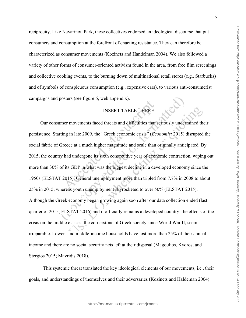reciprocity. Like Navarinou Park, these collectives endorsed an ideological discourse that put consumers and consumption at the forefront of enacting resistance. They can therefore be characterized as consumer movements (Kozinets and Handelman 2004). We also followed a variety of other forms of consumer-oriented activism found in the area, from free film screenings and collective cooking events, to the burning down of multinational retail stores (e.g., Starbucks) and of symbols of conspicuous consumption (e.g., expensive cars), to various anti-consumerist campaigns and posters (see figure 6, web appendix).

#### INSERT TABLE 1 HERE

Our consumer movements faced threats and difficulties that seriously undermined their persistence. Starting in late 2009, the "Greek economic crisis" (*Economist* 2015) disrupted the social fabric of Greece at a much higher magnitude and scale than originally anticipated. By 2015, the country had undergone its sixth consecutive year of economic contraction, wiping out more than 30% of its GDP in what was the biggest decline in a developed economy since the 1950s (ELSTAT 2015). General unemployment more than tripled from 7.7% in 2008 to about 25% in 2015, whereas youth unemployment skyrocketed to over 50% (ELSTAT 2015). Although the Greek economy began growing again soon after our data collection ended (last quarter of 2015; ELSTAT 2016) and it officially remains a developed country, the effects of the crisis on the middle classes, the cornerstone of Greek society since World War II, seem irreparable. Lower- and middle-income households have lost more than 25% of their annual income and there are no social security nets left at their disposal (Magoulios, Kydros, and Stergios 2015; Mavridis 2018).

This systemic threat translated the key ideological elements of our movements, i.e., their goals, and understandings of themselves and their adversaries (Kozinets and Haldeman 2004)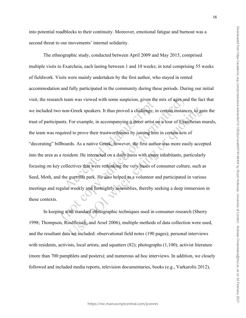into potential roadblocks to their continuity. Moreover, emotional fatigue and burnout was a second threat to our movements' internal solidarity.

The ethnographic study, conducted between April 2009 and May 2015, comprised multiple visits to Exarcheia, each lasting between 1 and 10 weeks; in total comprising 55 weeks of fieldwork. Visits were mainly undertaken by the first author, who stayed in rented accommodation and fully participated in the community during these periods. During our initial visit, the research team was viewed with some suspicion, given the mix of ages and the fact that we included two non-Greek speakers. It thus proved a challenge, in certain instances, to gain the trust of participants. For example, in accompanying a street artist on a tour of Exarcheian murals, the team was required to prove their trustworthiness by joining him in certain acts of "decorating" billboards. As a native Greek, however, the first author was more easily accepted into the area as a resident. He interacted on a daily basis with many inhabitants, particularly focusing on key collectives that were rethinking the very bases of consumer culture, such as Seed, Moth, and the guerrilla park. He also helped as a volunteer and participated in various meetings and regular weekly and fortnightly assemblies, thereby seeking a deep immersion in these contexts.

In keeping with standard ethnographic techniques used in consumer research (Sherry 1998; Thompson, Rindfleisch, and Arsel 2006), multiple methods of data collection were used, and the resultant data set included: observational field notes (190 pages); personal interviews with residents, activists, local artists, and squatters (82); photographs (1,100); activist literature (more than 700 pamphlets and posters); and numerous ad hoc interviews. In addition, we closely followed and included media reports, television documentaries, books (e.g., Varkarolis 2012),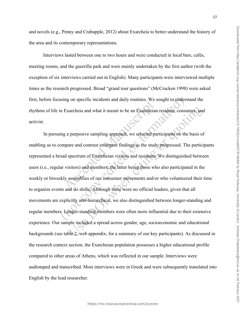and novels (e.g., Penny and Crabapple, 2012) about Exarcheia to better understand the history of the area and its contemporary representations.

Interviews lasted between one to two hours and were conducted in local bars, cafés, meeting rooms, and the guerrilla park and were mainly undertaken by the first author (with the exception of six interviews carried out in English). Many participants were interviewed multiple times as the research progressed. Broad "grand tour questions" (McCracken 1998) were asked first, before focusing on specific incidents and daily routines. We sought to understand the rhythms of life in Exarcheia and what it meant to be an Exarcheian resident, consumer, and activist.

In pursuing a purposive sampling approach, we selected participants on the basis of enabling us to compare and contrast emergent findings as the study progressed. The participants represented a broad spectrum of Exarcheian visitors and residents. We distinguished between users (i.e., regular visitors) and members, the latter being those who also participated in the weekly or biweekly assemblies of our consumer movements and/or who volunteered their time to organize events and do shifts. Although there were no official leaders, given that all movements are explicitly anti-hierarchical, we also distinguished between longer-standing and regular members. Longer-standing members were often more influential due to their extensive experience. Our sample included a spread across gender, age, socioeconomic and educational backgrounds (see table 2, web appendix, for a summary of our key participants). As discussed in the research context section, the Exarcheian population possesses a higher educational profile compared to other areas of Athens, which was reflected in our sample. Interviews were audiotaped and transcribed. Most interviews were in Greek and were subsequently translated into English by the lead researcher.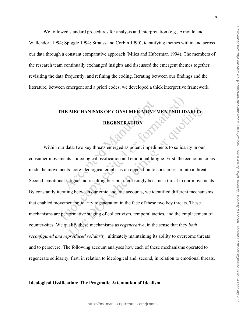We followed standard procedures for analysis and interpretation (e.g., Arnould and Wallendorf 1994; Spiggle 1994; Strauss and Corbin 1990), identifying themes within and across our data through a constant comparative approach (Miles and Huberman 1994). The members of the research team continually exchanged insights and discussed the emergent themes together, revisiting the data frequently, and refining the coding. Iterating between our findings and the literature, between emergent and a priori codes, we developed a thick interpretive framework.

# **THE MECHANISMS OF CONSUMER MOVEMENT SOLIDARITY**

#### **REGENERATION**

Within our data, two key threats emerged as potent impediments to solidarity in our consumer movements—ideological ossification and emotional fatigue. First, the economic crisis made the movements' core ideological emphasis on opposition to consumerism into a threat. Second, emotional fatigue and resulting burnout increasingly became a threat to our movements. By constantly iterating between our emic and etic accounts, we identified different mechanisms that enabled movement solidarity regeneration in the face of these two key threats. These mechanisms are performative staging of collectivism, temporal tactics, and the emplacement of counter-sites. We qualify these mechanisms as *regenerative*, in the sense that they *both reconfigured and reproduced solidarity*, ultimately maintaining its ability to overcome threats and to persevere. The following account analyses how each of these mechanisms operated to regenerate solidarity, first, in relation to ideological and, second, in relation to emotional threats.

#### **Ideological Ossification: The Pragmatic Attenuation of Idealism**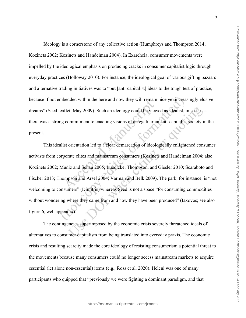Ideology is a cornerstone of any collective action (Humphreys and Thompson 2014; Kozinets 2002; Kozinets and Handelman 2004). In Exarcheia, consumer movements were impelled by the ideological emphasis on producing cracks in consumer capitalist logic through everyday practices (Holloway 2010). For instance, the ideological goal of various gifting bazaars and alternative trading initiatives was to "put [anti-capitalist] ideas to the tough test of practice, because if not embedded within the here and now they will remain nice yet increasingly elusive dreams" (Seed leaflet, May 2009). Such an ideology could be viewed as idealist, in so far as there was a strong commitment to enacting visions of an egalitarian anti-capitalist society in the present.

This idealist orientation led to a clear demarcation of ideologically enlightened consumer activists from corporate elites and mainstream consumers (Kozinets and Handelman 2004; also Kozinets 2002; Muñiz and Schau 2005; Luedicke, Thompson, and Giesler 2010; Scaraboto and Fischer 2013; Thompson and Arsel 2004; Varman and Belk 2009). The park, for instance, is "not welcoming to consumers" (Dimitris) whereas Seed is not a space "for consuming commodities without wondering where they came from and how they have been produced" (Iakovos; see also figure 6, web appendix).

The contingencies superimposed by the economic crisis severely threatened ideals of alternatives to consumer capitalism from being translated into everyday praxis. The economic crisis and resulting scarcity made the core ideology of resisting consumerism a potential threat to the movements because many consumers could no longer access mainstream markets to acquire essential (let alone non-essential) items (e.g., Ross et al. 2020). Heleni was one of many participants who quipped that "previously we were fighting a dominant paradigm, and that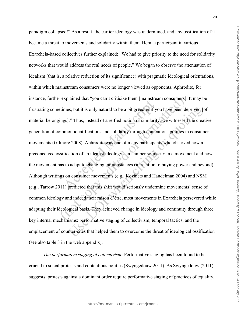paradigm collapsed!" As a result, the earlier ideology was undermined, and any ossification of it became a threat to movements and solidarity within them. Hera, a participant in various Exarcheia-based collectives further explained: "We had to give priority to the need for solidarity networks that would address the real needs of people." We began to observe the attenuation of idealism (that is, a relative reduction of its significance) with pragmatic ideological orientations, within which mainstream consumers were no longer viewed as opponents. Aphrodite, for instance, further explained that "you can't criticize them [mainstream consumers]. It may be frustrating sometimes, but it is only natural to be a bit greedier if you have been deprived [of material belongings]." Thus, instead of a reified notion of similarity, we witnessed the creative generation of common identifications and solidarity through contentious politics in consumer movements (Gilmore 2008). Aphrodite was one of many participants who observed how a preconceived ossification of an idealist ideology can hamper solidarity in a movement and how the movement has to adapt to changing circumstances (in relation to buying power and beyond). Although writings on consumer movements (e.g., Kozinets and Handelman 2004) and NSM (e.g., Tarrow 2011) predicted that this shift would seriously undermine movements' sense of common ideology and indeed their raison d'être, most movements in Exarcheia persevered while adapting their ideological basis. They achieved change in ideology and continuity through three key internal mechanisms: performative staging of collectivism, temporal tactics, and the emplacement of counter-sites that helped them to overcome the threat of ideological ossification (see also table 3 in the web appendix).

*The performative staging of collectivism:* Performative staging has been found to be crucial to social protests and contentious politics (Swyngedouw 2011). As Swyngedouw (2011) suggests, protests against a dominant order require performative staging of practices of equality,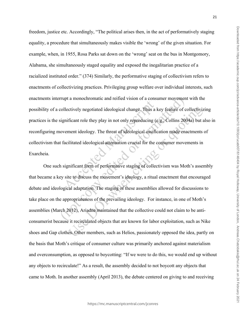freedom, justice etc. Accordingly, "The political arises then, in the act of performatively staging equality, a procedure that simultaneously makes visible the 'wrong' of the given situation. For example, when, in 1955, Rosa Parks sat down on the 'wrong' seat on the bus in Montgomory, Alabama, she simultaneously staged equality and exposed the inegalitarian practice of a racialized instituted order." (374) Similarly, the performative staging of collectivism refers to enactments of collectivizing practices. Privileging group welfare over individual interests, such enactments interrupt a monochromatic and reified vision of a consumer movement with the possibility of a collectively negotiated ideological change. Thus a key feature of collectivizing practices is the significant role they play in not only reproducing (e.g., Collins 2004a) but also in reconfiguring movement ideology. The threat of ideological ossification made enactments of collectivism that facilitated ideological attenuation crucial for the consumer movements in Exarcheia.

One such significant form of performative staging of collectivism was Moth's assembly that became a key site to discuss the movement's ideology, a ritual enactment that encouraged debate and ideological adaptation. The staging of these assemblies allowed for discussions to take place on the appropriateness of the prevailing ideology. For instance, in one of Moth's assemblies (March 2012), Ariadne maintained that the collective could not claim to be anticonsumerist because it recirculated objects that are known for labor exploitation, such as Nike shoes and Gap clothes. Other members, such as Helios, passionately opposed the idea, partly on the basis that Moth's critique of consumer culture was primarily anchored against materialism and overconsumption, as opposed to boycotting: "If we were to do this, we would end up without any objects to recirculate!" As a result, the assembly decided to not boycott any objects that came to Moth. In another assembly (April 2013), the debate centered on giving to and receiving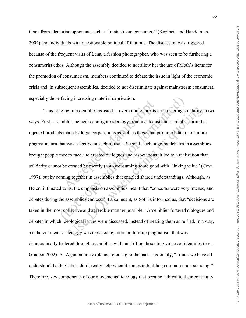items from identarian opponents such as "mainstream consumers" (Kozinets and Handelman 2004) and individuals with questionable political affiliations. The discussion was triggered because of the frequent visits of Lena, a fashion photographer, who was seen to be furthering a consumerist ethos. Although the assembly decided to not allow her the use of Moth's items for the promotion of consumerism, members continued to debate the issue in light of the economic crisis and, in subsequent assemblies, decided to not discriminate against mainstream consumers, especially those facing increasing material deprivation.

Thus, staging of assemblies assisted in overcoming threats and fostering solidarity in two ways. First, assemblies helped reconfigure ideology from its idealist anti-capitalist form that rejected products made by large corporations as well as those that promoted them, to a more pragmatic turn that was selective in such refusals. Second, such ongoing debates in assemblies brought people face to face and created dialogues and associations. It led to a realization that solidarity cannot be created by merely (anti-)consuming some good with "linking value" (Cova 1997), but by coming together in assemblies that enabled shared understandings. Although, as Heleni intimated to us, the emphasis on assemblies meant that "concerns were very intense, and debates during the assemblies endless." It also meant, as Sotiria informed us, that "decisions are taken in the most collective and agreeable manner possible." Assemblies fostered dialogues and debates in which ideological issues were discussed, instead of treating them as reified. In a way, a coherent idealist ideology was replaced by more bottom-up pragmatism that was democratically fostered through assemblies without stifling dissenting voices or identities (e.g., Graeber 2002). As Agamemnon explains, referring to the park's assembly, "I think we have all understood that big labels don't really help when it comes to building common understanding." Therefore, key components of our movements' ideology that became a threat to their continuity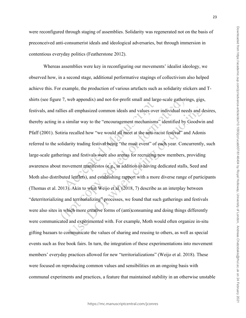were reconfigured through staging of assemblies. Solidarity was regenerated not on the basis of preconceived anti-consumerist ideals and ideological adversaries, but through immersion in contentious everyday politics (Featherstone 2012).

Whereas assemblies were key in reconfiguring our movements' idealist ideology, we observed how, in a second stage, additional performative stagings of collectivism also helped achieve this. For example, the production of various artefacts such as solidarity stickers and Tshirts (see figure 7, web appendix) and not-for-profit small and large-scale gatherings, gigs, festivals, and rallies all emphasized common ideals and values over individual needs and desires, thereby acting in a similar way to the "encouragement mechanisms" identified by Goodwin and Pfaff (2001). Sotiria recalled how "we would all meet at the anti-racist festival" and Adonis referred to the solidarity trading festival being "the must event" of each year. Concurrently, such large-scale gatherings and festivals were also arenas for recruiting new members, providing awareness about movement manifestos (e.g., in addition to having dedicated stalls, Seed and Moth also distributed leaflets), and establishing rapport with a more diverse range of participants (Thomas et al. 2013). Akin to what Weijo et al. (2018, 7) describe as an interplay between "deterritorializing and territorializing" processes, we found that such gatherings and festivals were also sites in which more creative forms of (anti)consuming and doing things differently were communicated and experimented with. For example, Moth would often organize in-situ gifting bazaars to communicate the values of sharing and reusing to others, as well as special events such as free book fairs. In turn, the integration of these experimentations into movement members' everyday practices allowed for new "territorializations" (Weijo et al. 2018). These were focused on reproducing common values and sensibilities on an ongoing basis with communal experiments and practices, a feature that maintained stability in an otherwise unstable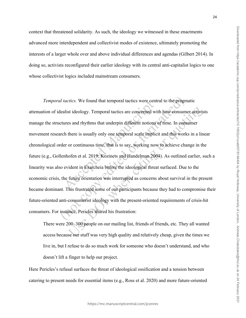context that threatened solidarity. As such, the ideology we witnessed in these enactments advanced more interdependent and collectivist modes of existence, ultimately promoting the interests of a larger whole over and above individual differences and agendas (Gilbert 2014). In doing so, activists reconfigured their earlier ideology with its central anti-capitalist logics to one whose collectivist logics included mainstream consumers.

*Temporal tactics.* We found that temporal tactics were central to the pragmatic attenuation of idealist ideology. Temporal tactics are concerned with how consumer activists manage the structures and rhythms that underpin different notions of time. In consumer movement research there is usually only one temporal scale implicit and this works in a linear chronological order or continuous time, that is to say, working now to achieve change in the future (e.g., Gollenhofen et al. 2019; Kozinets and Handelman 2004). As outlined earlier, such a linearity was also evident in Exarcheia before the ideological threat surfaced. Due to the economic crisis, the future orientation was interrupted as concerns about survival in the present became dominant. This frustrated some of our participants because they had to compromise their future-oriented anti-consumerist ideology with the present-oriented requirements of crisis-hit consumers. For instance, Pericles shared his frustration:

There were 200–300 people on our mailing list, friends of friends, etc. They all wanted access because our stuff was very high quality and relatively cheap, given the times we live in, but I refuse to do so much work for someone who doesn't understand, and who doesn't lift a finger to help our project.

Here Pericles's refusal surfaces the threat of ideological ossification and a tension between catering to present needs for essential items (e.g., Ross et al. 2020) and more future-oriented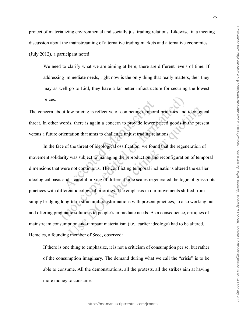project of materializing environmental and socially just trading relations. Likewise, in a meeting discussion about the mainstreaming of alternative trading markets and alternative economies (July 2012), a participant noted:

We need to clarify what we are aiming at here; there are different levels of time. If addressing immediate needs, right now is the only thing that really matters, then they may as well go to Lidl, they have a far better infrastructure for securing the lowest prices.

The concern about low pricing is reflective of competing temporal priorities and ideological threat. In other words, there is again a concern to provide lower priced goods in the present versus a future orientation that aims to challenge unjust trading relations.

In the face of the threat of ideological ossification, we found that the regeneration of movement solidarity was subject to managing the reproduction and reconfiguration of temporal dimensions that were not continuous. The conflicting temporal inclinations altered the earlier ideological basis and a careful mixing of different time scales regenerated the logic of grassroots practices with different ideological priorities*.* The emphasis in our movements shifted from simply bridging long-term structural transformations with present practices, to also working out and offering pragmatic solutions to people's immediate needs. As a consequence, critiques of mainstream consumption and rampant materialism (i.e., earlier ideology) had to be altered. Heracles, a founding member of Seed, observed:

If there is one thing to emphasize, it is not a criticism of consumption per se, but rather of the consumption imaginary. The demand during what we call the "crisis" is to be able to consume. All the demonstrations, all the protests, all the strikes aim at having more money to consume.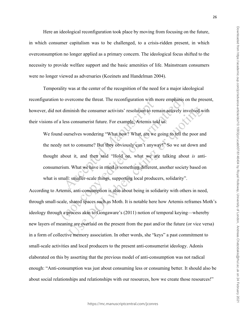Here an ideological reconfiguration took place by moving from focusing on the future, in which consumer capitalism was to be challenged, to a crisis-ridden present, in which overconsumption no longer applied as a primary concern. The ideological focus shifted to the necessity to provide welfare support and the basic amenities of life. Mainstream consumers were no longer viewed as adversaries (Kozinets and Handelman 2004).

Temporality was at the center of the recognition of the need for a major ideological reconfiguration to overcome the threat. The reconfiguration with more emphasis on the present, however, did not diminish the consumer activists' resolution to remain actively involved with their visions of a less consumerist future. For example, Artemis told us:

We found ourselves wondering "What now? What, are we going to tell the poor and the needy not to consume? But they obviously can't anyway!" So we sat down and thought about it, and then said "Hold on, what we are talking about *is* anticonsumerism. What we have in mind is something different, another society based on what is small: smaller-scale things, supporting local producers, solidarity".

According to Artemis, anti-consumption is also about being in solidarity with others in need, through small-scale, shared spaces such as Moth. It is notable here how Artemis reframes Moth's ideology through a process akin to Gongaware's (2011) notion of temporal keying—whereby new layers of meaning are overlaid on the present from the past and/or the future (or vice versa) in a form of collective memory association. In other words, she "keys" a past commitment to small-scale activities and local producers to the present anti-consumerist ideology. Adonis elaborated on this by asserting that the previous model of anti-consumption was not radical enough: "Anti-consumption was just about consuming less or consuming better. It should also be about social relationships and relationships with our resources, how we create those resources!"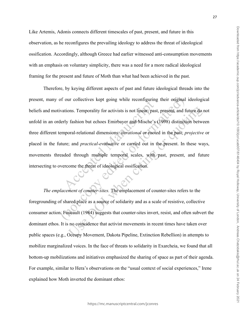Like Artemis, Adonis connects different timescales of past, present, and future in this observation, as he reconfigures the prevailing ideology to address the threat of ideological ossification. Accordingly, although Greece had earlier witnessed anti-consumption movements with an emphasis on voluntary simplicity, there was a need for a more radical ideological framing for the present and future of Moth than what had been achieved in the past.

Therefore, by keying different aspects of past and future ideological threads into the present, many of our collectives kept going while reconfiguring their original ideological beliefs and motivations. Temporality for activists is not linear: past, present, and future do not unfold in an orderly fashion but echoes Emirbayer and Mische's (1998) distinction between three different temporal-relational dimensions: *iterational* or rooted in the past; *projective* or placed in the future; and *practical-evaluative* or carried out in the present. In these ways, movements threaded through multiple temporal scales, with past, present, and future intersecting to overcome the threat of ideological ossification.

*The emplacement of counter-sites.* The emplacement of counter-sites refers to the foregrounding of shared place as a source of solidarity and as a scale of resistive, collective consumer action. Foucault (1984) suggests that counter-sites invert, resist, and often subvert the dominant ethos. It is no coincidence that activist movements in recent times have taken over public spaces (e.g., Occupy Movement, Dakota Pipeline, Extinction Rebellion) in attempts to mobilize marginalized voices. In the face of threats to solidarity in Exarcheia, we found that all bottom-up mobilizations and initiatives emphasized the sharing of space as part of their agenda. For example, similar to Hera's observations on the "usual context of social experiences," Irene explained how Moth inverted the dominant ethos: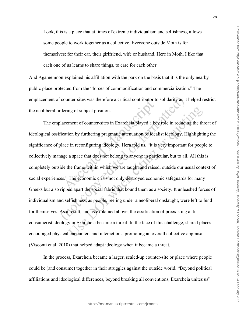Look, this is a place that at times of extreme individualism and selfishness, allows some people to work together as a collective. Everyone outside Moth is for themselves: for their car, their girlfriend, wife or husband. Here in Moth, I like that each one of us learns to share things, to care for each other.

And Agamemnon explained his affiliation with the park on the basis that it is the only nearby public place protected from the "forces of commodification and commercialization." The emplacement of counter-sites was therefore a critical contributor to solidarity as it helped restrict the neoliberal ordering of subject positions.

The emplacement of counter-sites in Exarcheia played a key role in reducing the threat of ideological ossification by furthering pragmatic attenuation of idealist ideology. Highlighting the significance of place in reconfiguring ideology, Hera told us, "it is very important for people to collectively manage a space that does not belong to anyone in particular, but to all. All this is completely outside the frame within which we are taught and raised, outside our usual context of social experiences." The economic crisis not only destroyed economic safeguards for many Greeks but also ripped apart the social fabric that bound them as a society. It unleashed forces of individualism and selfishness, as people, reeling under a neoliberal onslaught, were left to fend for themselves. As a result, and as explained above, the ossification of preexisting anticonsumerist ideology in Exarcheia became a threat. In the face of this challenge, shared places encouraged physical encounters and interactions, promoting an overall collective appraisal (Visconti et al. 2010) that helped adapt ideology when it became a threat.

In the process, Exarcheia became a larger, scaled-up counter-site or place where people could be (and consume) together in their struggles against the outside world. "Beyond political affiliations and ideological differences, beyond breaking all conventions, Exarcheia unites us"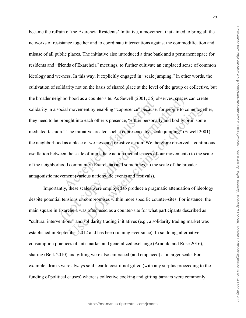became the refrain of the Exarcheia Residents' Initiative, a movement that aimed to bring all the networks of resistance together and to coordinate interventions against the commodification and misuse of all public places. The initiative also introduced a time bank and a permanent space for residents and "friends of Exarcheia" meetings, to further cultivate an emplaced sense of common ideology and we-ness. In this way, it explicitly engaged in "scale jumping," in other words, the cultivation of solidarity not on the basis of shared place at the level of the group or collective, but the broader neighborhood as a counter-site. As Sewell (2001, 56) observes, spaces can create solidarity in a social movement by enabling "copresence" because, for people to come together, they need to be brought into each other's presence, "either personally and bodily or in some mediated fashion." The initiative created such a copresence by "scale jumping" (Sewell 2001) the neighborhood as a place of we-ness and resistive action. We therefore observed a continuous oscillation between the scale of immediate action (actual spaces of our movements) to the scale of the neighborhood community (Exarcheia) and sometimes, to the scale of the broader antagonistic movement (various nationwide events and festivals).

Importantly, these scales were employed to produce a pragmatic attenuation of ideology despite potential tensions or compromises within more specific counter-sites. For instance, the main square in Exarcheia was often used as a counter-site for what participants described as "cultural interventions" and solidarity trading initiatives (e.g., a solidarity trading market was established in September 2012 and has been running ever since). In so doing, alternative consumption practices of anti-market and generalized exchange (Arnould and Rose 2016), sharing (Belk 2010) and gifting were also embraced (and emplaced) at a larger scale. For example, drinks were always sold near to cost if not gifted (with any surplus proceeding to the funding of political causes) whereas collective cooking and gifting bazaars were commonly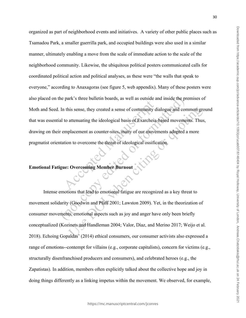organized as part of neighborhood events and initiatives. A variety of other public places such as Tsamadou Park, a smaller guerrilla park, and occupied buildings were also used in a similar manner, ultimately enabling a move from the scale of immediate action to the scale of the neighborhood community. Likewise, the ubiquitous political posters communicated calls for coordinated political action and political analyses, as these were "the walls that speak to everyone," according to Anaxagoras (see figure 5, web appendix). Many of these posters were also placed on the park's three bulletin boards, as well as outside and inside the premises of Moth and Seed. In this sense, they created a sense of community dialogue and common ground that was essential to attenuating the ideological basis of Exarcheia-based movements. Thus, drawing on their emplacement as counter-sites, many of our movements adopted a more pragmatist orientation to overcome the threat of ideological ossification.

#### **Emotional Fatigue: Overcoming Member Burnout**

Intense emotions that lead to emotional fatigue are recognized as a key threat to movement solidarity (Goodwin and Pfaff 2001; Lawston 2009). Yet, in the theorization of consumer movements, emotional aspects such as joy and anger have only been briefly conceptualized (Kozinets and Handleman 2004; Valor, Díaz, and Merino 2017; Weijo et al. 2018). Echoing Gopaldas' (2014) ethical consumers, our consumer activists also expressed a range of emotions--contempt for villains (e.g., corporate capitalists), concern for victims (e.g., structurally disenfranchised producers and consumers), and celebrated heroes (e.g., the Zapatistas). In addition, members often explicitly talked about the collective hope and joy in doing things differently as a linking impetus within the movement. We observed, for example,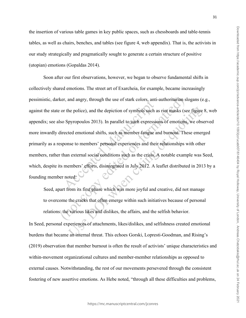the insertion of various table games in key public spaces, such as chessboards and table-tennis tables, as well as chairs, benches, and tables (see figure 4, web appendix). That is, the activists in our study strategically and pragmatically sought to generate a certain structure of positive (utopian) emotions (Gopaldas 2014).

Soon after our first observations, however, we began to observe fundamental shifts in collectively shared emotions. The street art of Exarcheia, for example, became increasingly pessimistic, darker, and angry, through the use of stark colors, anti-authoritarian slogans (e.g., against the state or the police), and the depiction of symbols such as riot masks (see figure 8, web appendix; see also Spyropoulos 2013). In parallel to such expressions of emotions, we observed more inwardly directed emotional shifts, such as member fatigue and burnout. These emerged primarily as a response to members' personal experiences and their relationships with other members, rather than external social conditions such as the crisis. A notable example was Seed, which, despite its members' efforts, disintegrated in July 2012. A leaflet distributed in 2013 by a founding member noted:

Seed, apart from its first phase which was more joyful and creative, did not manage to overcome the cracks that often emerge within such initiatives because of personal relations: the various likes and dislikes, the affairs, and the selfish behavior.

In Seed, personal experiences of attachments, likes/dislikes, and selfishness created emotional burdens that became an internal threat. This echoes Gorski, Lopresti-Goodman, and Rising's (2019) observation that member burnout is often the result of activists' unique characteristics and within-movement organizational cultures and member-member relationships as opposed to external causes. Notwithstanding, the rest of our movements persevered through the consistent fostering of new assertive emotions. As Hebe noted, "through all these difficulties and problems,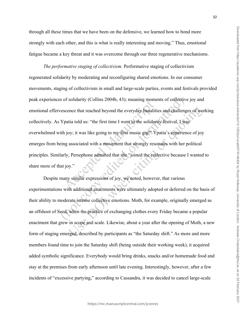through all these times that we have been on the defensive, we learned how to bond more strongly with each other, and this is what is really interesting and moving." Thus, emotional fatigue became a key threat and it was overcome through our three regenerative mechanisms.

*The performative staging of collectivism.* Performative staging of collectivism regenerated solidarity by moderating and reconfiguring shared emotions. In our consumer movements, staging of collectivism in small and large-scale parties, events and festivals provided peak experiences of solidarity (Collins 2004b, 43); meaning moments of collective joy and emotional effervescence that reached beyond the everyday banalities and challenges of working collectively. As Ypatia told us: "the first time I went to the solidarity festival, I was overwhelmed with joy; it was like going to my first music gig!" Ypatia's experience of joy emerges from being associated with a movement that strongly resonates with her political principles. Similarly, Persephone admitted that she "joined the collective because I wanted to share more of that joy."

Despite many similar expressions of joy, we noted, however, that various experimentations with additional enactments were ultimately adopted or deferred on the basis of their ability to moderate intense collective emotions. Moth, for example, originally emerged as an offshoot of Seed, when the practice of exchanging clothes every Friday became a popular enactment that grew in scope and scale. Likewise, about a year after the opening of Moth, a new form of staging emerged, described by participants as "the Saturday shift." As more and more members found time to join the Saturday shift (being outside their working week), it acquired added symbolic significance. Everybody would bring drinks, snacks and/or homemade food and stay at the premises from early afternoon until late evening. Interestingly, however, after a few incidents of "excessive partying," according to Cassandra, it was decided to cancel large-scale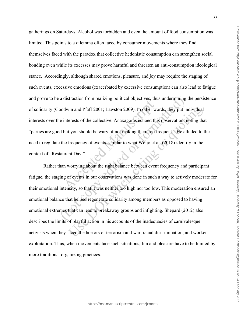gatherings on Saturdays. Alcohol was forbidden and even the amount of food consumption was limited. This points to a dilemma often faced by consumer movements where they find themselves faced with the paradox that collective hedonistic consumption can strengthen social bonding even while its excesses may prove harmful and threaten an anti-consumption ideological stance. Accordingly, although shared emotions, pleasure, and joy may require the staging of such events, excessive emotions (exacerbated by excessive consumption) can also lead to fatigue and prove to be a distraction from realizing political objectives, thus undermining the persistence of solidarity (Goodwin and Pfaff 2001; Lawston 2009). In other words, they put individual interests over the interests of the collective. Anaxagoras echoed this observation, noting that "parties are good but you should be wary of not making them too frequent." He alluded to the need to regulate the frequency of events, similar to what Weijo et al. (2018) identify in the context of "Restaurant Day."

Rather than worrying about the right balance between event frequency and participant fatigue, the staging of events in our observations was done in such a way to actively moderate for their emotional intensity, so that it was neither too high nor too low. This moderation ensured an emotional balance that helped regenerate solidarity among members as opposed to having emotional extremes that can lead to breakaway groups and infighting. Shepard (2012) also describes the limits of playful action in his accounts of the inadequacies of carnivalesque activists when they faced the horrors of terrorism and war, racial discrimination, and worker exploitation. Thus, when movements face such situations, fun and pleasure have to be limited by more traditional organizing practices.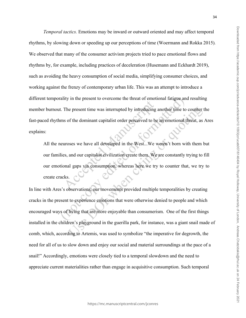*Temporal tactics.* Emotions may be inward or outward oriented and may affect temporal rhythms, by slowing down or speeding up our perceptions of time (Woermann and Rokka 2015)*.*  We observed that many of the consumer activism projects tried to pace emotional flows and rhythms by, for example, including practices of deceleration (Husemann and Eckhardt 2019), such as avoiding the heavy consumption of social media, simplifying consumer choices, and working against the frenzy of contemporary urban life. This was an attempt to introduce a different temporality in the present to overcome the threat of emotional fatigue and resulting member burnout. The present time was interrupted by introducing another time to counter the fast-paced rhythms of the dominant capitalist order perceived to be an emotional threat, as Ares explains:

All the neuroses we have all developed in the West...We weren't born with them but our families, and our capitalist civilization create them. We are constantly trying to fill our emotional gaps via consumption, whereas here we try to counter that, we try to create cracks.

In line with Ares's observations, our movements provided multiple temporalities by creating cracks in the present to experience emotions that were otherwise denied to people and which encouraged ways of living that are more enjoyable than consumerism. One of the first things installed in the children's playground in the guerilla park, for instance, was a giant snail made of comb, which, according to Artemis, was used to symbolize "the imperative for degrowth, the need for all of us to slow down and enjoy our social and material surroundings at the pace of a snail!" Accordingly, emotions were closely tied to a temporal slowdown and the need to appreciate current materialities rather than engage in acquisitive consumption. Such temporal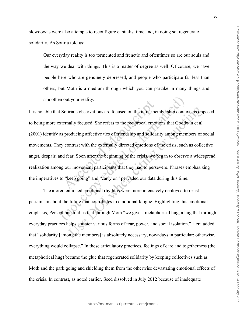slowdowns were also attempts to reconfigure capitalist time and, in doing so, regenerate solidarity. As Sotiria told us:

Our everyday reality is too tormented and frenetic and oftentimes so are our souls and the way we deal with things. This is a matter of degree as well. Of course, we have people here who are genuinely depressed, and people who participate far less than others, but Moth is a medium through which you can partake in many things and smoothen out your reality.

It is notable that Sotiria's observations are focused on the intra-membership context, as opposed to being more externally focused. She refers to the reciprocal emotions that Goodwin et al. (2001) identify as producing affective ties of friendship and solidarity among members of social movements. They contrast with the externally directed emotions of the crisis, such as collective angst, despair, and fear. Soon after the beginning of the crisis, we began to observe a widespread realization among our movement participants that they had to persevere. Phrases emphasizing the imperatives to "keep going" and "carry on" pervaded our data during this time.

The aforementioned emotional rhythms were more intensively deployed to resist pessimism about the future that contributes to emotional fatigue. Highlighting this emotional emphasis, Persephone told us that through Moth "we give a metaphorical hug, a hug that through everyday practices helps counter various forms of fear, power, and social isolation." Hera added that "solidarity [among the members] is absolutely necessary, nowadays in particular; otherwise, everything would collapse." In these articulatory practices, feelings of care and togetherness (the metaphorical hug) became the glue that regenerated solidarity by keeping collectives such as Moth and the park going and shielding them from the otherwise devastating emotional effects of the crisis. In contrast, as noted earlier, Seed dissolved in July 2012 because of inadequate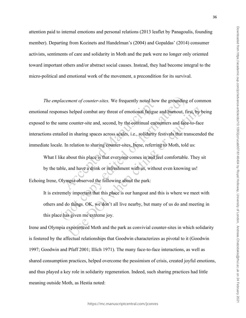attention paid to internal emotions and personal relations (2013 leaflet by Panagoulis, founding member). Departing from Kozinets and Handelman's (2004) and Gopaldas' (2014) consumer activists, sentiments of care and solidarity in Moth and the park were no longer only oriented toward important others and/or abstract social causes. Instead, they had become integral to the micro-political and emotional work of the movement, a precondition for its survival.

*The emplacement of counter-sites.* We frequently noted how the grounding of common emotional responses helped combat any threat of emotional fatigue and burnout, first, by being exposed to the same counter-site and, second, by the continual encounters and face-to-face interactions entailed in sharing spaces across scales, i.e., solidarity festivals that transcended the immediate locale. In relation to sharing counter-sites, Irene, referring to Moth, told us:

What I like about this place is that everyone comes in and feel comfortable. They sit by the table, and have a drink or refreshment with us, without even knowing us! Echoing Irene, Olympia observed the following about the park:

It is extremely important that this place is our hangout and this is where we meet with others and do things. OK, we don't all live nearby, but many of us do and meeting in this place has given me extreme joy.

Irene and Olympia experienced Moth and the park as convivial counter-sites in which solidarity is fostered by the affectual relationships that Goodwin characterizes as pivotal to it (Goodwin 1997; Goodwin and Pfaff 2001; Illich 1971). The many face-to-face interactions, as well as shared consumption practices, helped overcome the pessimism of crisis, created joyful emotions, and thus played a key role in solidarity regeneration. Indeed, such sharing practices had little meaning outside Moth, as Hestia noted: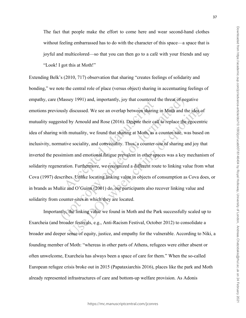The fact that people make the effort to come here and wear second-hand clothes without feeling embarrassed has to do with the character of this space—a space that is joyful and multicolored—so that you can then go to a café with your friends and say "Look! I got this at Moth!"

Extending Belk's (2010, 717) observation that sharing "creates feelings of solidarity and bonding," we note the central role of place (versus object) sharing in accentuating feelings of empathy, care (Massey 1991) and, importantly, joy that countered the threat of negative emotions previously discussed. We see an overlap between sharing in Moth and the idea of mutuality suggested by Arnould and Rose (2016). Despite their call to replace the egocentric idea of sharing with mutuality, we found that sharing at Moth, as a counter-site, was based on inclusivity, normative sociality, and conviviality. Thus, a counter-site of sharing and joy that inverted the pessimism and emotional fatigue prevalent in other spaces was a key mechanism of solidarity regeneration. Furthermore, we recognized a different route to linking value from what Cova (1997) describes. Unlike locating linking value in objects of consumption as Cova does, or in brands as Muñiz and O'Guinn (2001) do, our participants also recover linking value and solidarity from counter-sites in which they are located.

Importantly, the linking value we found in Moth and the Park successfully scaled up to Exarcheia (and broader festivals, e.g., Anti-Racism Festival, October 2012) to consolidate a broader and deeper sense of equity, justice, and empathy for the vulnerable. According to Niki, a founding member of Moth: "whereas in other parts of Athens, refugees were either absent or often unwelcome, Exarcheia has always been a space of care for them." When the so-called European refugee crisis broke out in 2015 (Papataxiarchis 2016), places like the park and Moth already represented infrastructures of care and bottom-up welfare provision. As Adonis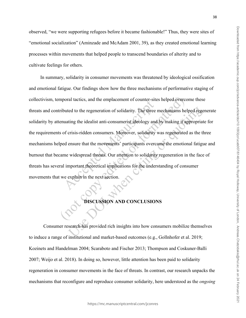observed, "we were supporting refugees before it became fashionable!" Thus, they were sites of "emotional socialization" (Aminzade and McAdam 2001, 39), as they created emotional learning processes within movements that helped people to transcend boundaries of alterity and to cultivate feelings for others.

In summary, solidarity in consumer movements was threatened by ideological ossification and emotional fatigue. Our findings show how the three mechanisms of performative staging of collectivism, temporal tactics, and the emplacement of counter-sites helped overcome these threats and contributed to the regeneration of solidarity. The three mechanisms helped regenerate solidarity by attenuating the idealist anti-consumerist ideology and by making it appropriate for the requirements of crisis-ridden consumers. Moreover, solidarity was regenerated as the three mechanisms helped ensure that the movements' participants overcame the emotional fatigue and burnout that became widespread threats. Our attention to solidarity regeneration in the face of threats has several important theoretical implications for the understanding of consumer movements that we explain in the next section.

## **DISCUSSION AND CONCLUSIONS**

Consumer research has provided rich insights into how consumers mobilize themselves to induce a range of institutional and market-based outcomes (e.g., Gollnhofer et al. 2019; Kozinets and Handelman 2004; Scaraboto and Fischer 2013; Thompson and Coskuner-Balli 2007; Weijo et al. 2018). In doing so, however, little attention has been paid to solidarity regeneration in consumer movements in the face of threats. In contrast, our research unpacks the mechanisms that reconfigure and reproduce consumer solidarity, here understood as the *ongoing*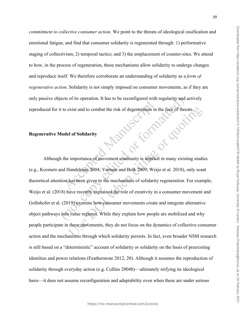*commitment to collective consumer action*. We point to the threats of ideological ossification and emotional fatigue, and find that consumer solidarity is regenerated through: 1) performative staging of collectivism; 2) temporal tactics; and 3) the emplacement of counter-sites. We attend to how, in the process of regeneration, these mechanisms allow solidarity to undergo changes and reproduce itself. We therefore corroborate an understanding of solidarity as a *form of regenerative action*. Solidarity is not simply imposed on consumer movements, as if they are only passive objects of its operation. It has to be reconfigured with regularity and actively reproduced for it to exist and to combat the risk of degeneration in the face of threats.

**Manuscription** 

#### **Regenerative Model of Solidarity**

Although the importance of movement continuity is implicit in many existing studies (e.g., Kozinets and Handelman 2004; Varman and Belk 2009; Weijo et al. 2018), only scant theoretical attention has been given to the mechanisms of solidarity regeneration. For example, Weijo et al. (2018) have recently explained the role of creativity in a consumer movement and Gollnhofer et al. (2019) examine how consumer movements create and integrate alternative object pathways into value regimes. While they explain how people are mobilized and why people participate in these movements, they do not focus on the dynamics of collective consumer action and the mechanisms through which solidarity persists. In fact, even broader NSM research is still based on a "deterministic" account of solidarity or solidarity on the basis of preexisting identities and power relations (Featherstone 2012, 20). Although it assumes the reproduction of solidarity through everyday action (e.g. Collins 2004b)—ultimately reifying its ideological basis—it does not assume reconfiguration and adaptability even when these are under serious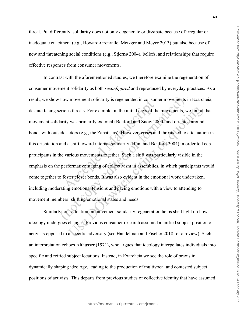threat. Put differently, solidarity does not only degenerate or dissipate because of irregular or inadequate enactment (e.g., Howard-Grenville, Metzger and Meyer 2013) but also because of new and threatening social conditions (e.g., Stjernø 2004), beliefs, and relationships that require effective responses from consumer movements.

In contrast with the aforementioned studies, we therefore examine the regeneration of consumer movement solidarity as both *reconfigured* and reproduced by everyday practices. As a result, we show how movement solidarity is regenerated in consumer movements in Exarcheia, despite facing serious threats. For example, in the initial days of the movements, we found that movement solidarity was primarily external (Benford and Snow 2000) and oriented around bonds with outside actors (e.g., the Zapatistas). However, crises and threats led to attenuation in this orientation and a shift toward internal solidarity (Hunt and Benford 2004) in order to keep participants in the various movements together. Such a shift was particularly visible in the emphasis on the performative staging of collectivism in assemblies, in which participants would come together to foster closer bonds. It was also evident in the emotional work undertaken, including moderating emotional tensions and pacing emotions with a view to attending to movement members' shifting emotional states and needs.

Similarly, our attention on movement solidarity regeneration helps shed light on how ideology undergoes changes. Previous consumer research assumed a unified subject position of activists opposed to a specific adversary (see Handelman and Fischer 2018 for a review). Such an interpretation echoes Althusser (1971), who argues that ideology interpellates individuals into specific and reified subject locations. Instead, in Exarcheia we see the role of praxis in dynamically shaping ideology, leading to the production of multivocal and contested subject positions of activists. This departs from previous studies of collective identity that have assumed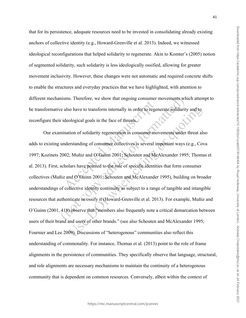that for its persistence, adequate resources need to be invested in consolidating already existing anchors of collective identity (e.g., Howard-Grenville et al. 2013). Indeed, we witnessed ideological reconfigurations that helped solidarity to regenerate. Akin to Komter's (2005) notion of segmented solidarity, such solidarity is less ideologically ossified, allowing for greater movement inclusivity. However, these changes were not automatic and required concrete shifts to enable the structures and everyday practices that we have highlighted, with attention to different mechanisms. Therefore, we show that ongoing consumer movements which attempt to be transformative also have to transform internally in order to regenerate solidarity and to reconfigure their ideological goals in the face of threats.

Our examination of solidarity regeneration in consumer movements under threat also adds to existing understanding of consumer collectives is several important ways (e.g., Cova 1997; Kozinets 2002; Muñiz and O'Guinn 2001; Schouten and McAlexander 1995; Thomas et al. 2013). First, scholars have pointed to the role of specific identities that form consumer collectives (Muñiz and O'Guinn 2001; Schouten and McAlexander 1995), building on broader understandings of collective identity continuity as subject to a range of tangible and intangible resources that authenticate or ossify it (Howard-Grenville et al. 2013). For example, Muñiz and O'Guinn (2001, 418) observe that "members also frequently note a critical demarcation between users of their brand and users of other brands." (see also Schouten and McAlexander 1995; Fournier and Lee 2009). Discussions of "heterogenous" communities also reflect this understanding of commonality. For instance, Thomas et al. (2013) point to the role of frame alignments in the persistence of communities. They specifically observe that language, structural, and role alignments are necessary mechanisms to maintain the continuity of a heterogenous community that is dependent on common resources. Conversely, albeit within the context of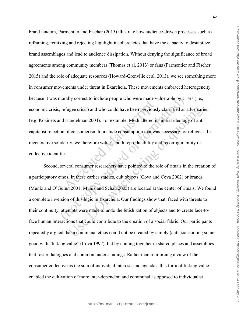brand fandom, Parmentier and Fischer (2015) illustrate how audience-driven processes such as reframing, remixing and rejecting highlight incoherencies that have the capacity to destabilize brand assemblages and lead to audience dissipation. Without denying the significance of broad agreements among community members (Thomas et al. 2013) or fans (Parmentier and Fischer 2015) and the role of adequate resources (Howard-Grenville et al. 2013), we see something more in consumer movements under threat in Exarcheia. These movements embraced heterogeneity because it was morally correct to include people who were made vulnerable by crises (i.e., economic crisis, refugee crisis) and who could have been previously classified as adversaries (e.g. Kozinets and Handelman 2004). For example, Moth altered its initial ideology of anticapitalist rejection of consumerism to include consumption that was necessary for refugees. In regenerative solidarity, we therefore witness both reproducibility and reconfigurability of collective identities.

Second, several consumer researchers have pointed to the role of rituals in the creation of a participatory ethos. In these earlier studies, cult objects (Cova and Cova 2002) or brands (Muñiz and O'Guinn 2001; Muñiz and Schau 2005) are located at the center of rituals. We found a complete inversion of this logic in Exarcheia. Our findings show that, faced with threats to their continuity, attempts were made to undo the fetishization of objects and to create face-toface human interactions that could contribute to the creation of a social fabric. Our participants repeatedly argued that a communal ethos could not be created by simply (anti-)consuming some good with "linking value" (Cova 1997), but by coming together in shared places and assemblies that foster dialogues and common understandings. Rather than reinforcing a view of the consumer collective as the sum of individual interests and agendas, this form of linking value enabled the cultivation of more inter-dependent and communal as opposed to individualist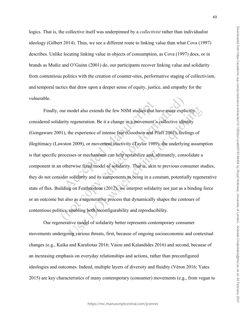logics. That is, the collective itself was underpinned by a *collectivist* rather than individualist ideology (Gilbert 2014). Thus, we see a different route to linking value than what Cova (1997) describes. Unlike locating linking value in objects of consumption, as Cova (1997) does, or in brands as Muñiz and O'Guinn (2001) do, our participants recover linking value and solidarity from contentious politics with the creation of counter-sites, performative staging of collectivism, and temporal tactics that draw upon a deeper sense of equity, justice, and empathy for the vulnerable.

Finally, our model also extends the few NSM studies that have more explicitly considered solidarity regeneration. Be it a change in a movement's collective identity (Gongaware 2001), the experience of intense fear (Goodwin and Pfaff 2001), feelings of illegitimacy (Lawston 2009), or movement inactivity (Taylor 1989), the underlying assumption is that specific processes or mechanisms can help restabilize and, ultimately, consolidate a component in an otherwise fixed model of solidarity. That is, akin to previous consumer studies, they do not consider solidarity and its components as being in a constant, potentially regenerative state of flux. Building on Featherstone (2012), we interpret solidarity not just as a binding force or an outcome but also as a regenerative process that dynamically shapes the contours of contentious politics, enabling both reconfigurability and reproducibility.

Our regenerative model of solidarity better represents contemporary consumer movements undergoing various threats, first, because of ongoing socioeconomic and contextual changes (e.g., Kaika and Karaliotas 2016; Vaiou and Kalandides 2016) and second, because of an increasing emphasis on everyday relationships and actions, rather than preconfigured ideologies and outcomes. Indeed, multiple layers of diversity and fluidity (Véron 2016; Yates 2015) are key characteristics of many contemporary (consumer) movements (e.g., from vegan to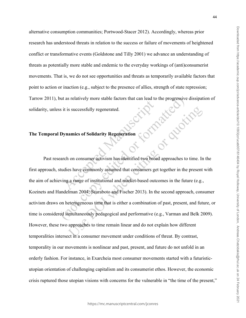alternative consumption communities; Portwood-Stacer 2012). Accordingly, whereas prior research has understood threats in relation to the success or failure of movements of heightened conflict or transformative events (Goldstone and Tilly 2001) we advance an understanding of threats as potentially more stable and endemic to the everyday workings of (anti)consumerist movements. That is, we do not see opportunities and threats as temporarily available factors that point to action or inaction (e.g., subject to the presence of allies, strength of state repression; Tarrow 2011), but as relatively more stable factors that can lead to the progressive dissipation of solidarity, unless it is successfully regenerated.<br>The Temporal Dynamics of Solidarity Regeneration solidarity, unless it is successfully regenerated.

#### **The Temporal Dynamics of Solidarity Regeneration**

Past research on consumer activism has identified two broad approaches to time. In the first approach, studies have commonly assumed that consumers get together in the present with the aim of achieving a range of institutional and market-based outcomes in the future (e.g., Kozinets and Handelman 2004; Scaraboto and Fischer 2013). In the second approach, consumer activism draws on heterogeneous time that is either a combination of past, present, and future, or time is considered simultaneously pedagogical and performative (e.g., Varman and Belk 2009). However, these two approaches to time remain linear and do not explain how different temporalities intersect in a consumer movement under conditions of threat. By contrast, temporality in our movements is nonlinear and past, present, and future do not unfold in an orderly fashion. For instance, in Exarcheia most consumer movements started with a futuristicutopian orientation of challenging capitalism and its consumerist ethos. However, the economic crisis ruptured those utopian visions with concerns for the vulnerable in "the time of the present,"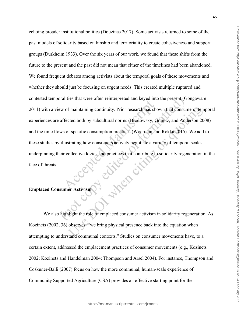echoing broader institutional politics (Douzinas 2017). Some activists returned to some of the past models of solidarity based on kinship and territoriality to create cohesiveness and support groups (Durkheim 1933). Over the six years of our work, we found that these shifts from the future to the present and the past did not mean that either of the timelines had been abandoned. We found frequent debates among activists about the temporal goals of these movements and whether they should just be focusing on urgent needs. This created multiple ruptured and contested temporalities that were often reinterpreted and keyed into the present (Gongaware 2011) with a view of maintaining continuity. Prior research has shown that consumers' temporal experiences are affected both by subcultural norms (Brodowsky, Granitz, and Anderson 2008) and the time flows of specific consumption practices (Woerman and Rokka 2015). We add to these studies by illustrating how consumers actively negotiate a variety of temporal scales underpinning their collective logics and practices that contribute to solidarity regeneration in the<br>face of threats.<br>Emplaced Consumer Activism face of threats.

#### **Emplaced Consumer Activism**

We also highlight the role of emplaced consumer activism in solidarity regeneration. As Kozinets (2002, 36) observes: "we bring physical presence back into the equation when attempting to understand communal contexts." Studies on consumer movements have, to a certain extent, addressed the emplacement practices of consumer movements (e.g., Kozinets 2002; Kozinets and Handelman 2004; Thompson and Arsel 2004). For instance, Thompson and Coskuner-Balli (2007) focus on how the more communal, human-scale experience of Community Supported Agriculture (CSA) provides an effective starting point for the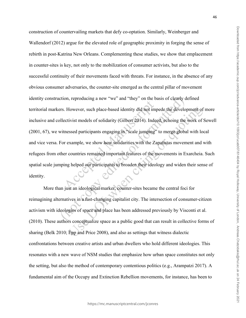construction of countervailing markets that defy co-optation. Similarly, Weinberger and Wallendorf (2012) argue for the elevated role of geographic proximity in forging the sense of rebirth in post-Katrina New Orleans. Complementing these studies, we show that emplacement in counter-sites is key, not only to the mobilization of consumer activists, but also to the successful continuity of their movements faced with threats. For instance, in the absence of any obvious consumer adversaries, the counter-site emerged as the central pillar of movement identity construction, reproducing a new "we" and "they" on the basis of clearly defined territorial markers. However, such place-based identity did not impede the development of more inclusive and collectivist models of solidarity (Gilbert 2014). Indeed, echoing the work of Sewell (2001, 67), we witnessed participants engaging in "scale jumping" to merge global with local and vice versa. For example, we show how solidarities with the Zapatistas movement and with refugees from other countries remained important features of the movements in Exarcheia. Such spatial scale jumping helped our participants to broaden their ideology and widen their sense of identity.

More than just an ideological marker, counter-sites became the central foci for reimagining alternatives in a fast-changing capitalist city. The intersection of consumer-citizen activism with ideologies of space and place has been addressed previously by Visconti et al. (2010). These authors conceptualize space as a public good that can result in collective forms of sharing (Belk 2010; Epp and Price 2008), and also as settings that witness dialectic confrontations between creative artists and urban dwellers who hold different ideologies. This resonates with a new wave of NSM studies that emphasize how urban space constitutes not only the setting, but also the method of contemporary contentious politics (e.g., Arampatzi 2017). A fundamental aim of the Occupy and Extinction Rebellion movements, for instance, has been to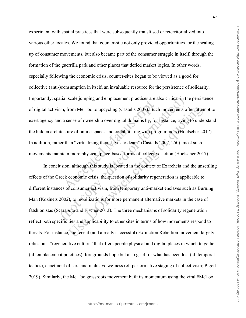experiment with spatial practices that were subsequently transfused or reterritorialized into various other locales. We found that counter-site not only provided opportunities for the scaling up of consumer movements, but also became part of the consumer struggle in itself, through the formation of the guerrilla park and other places that defied market logics. In other words, especially following the economic crisis, counter-sites began to be viewed as a good for collective (anti-)consumption in itself, an invaluable resource for the persistence of solidarity. Importantly, spatial scale jumping and emplacement practices are also critical in the persistence of digital activism, from Me Too to upcycling (Castells 2007). Such movements often attempt to exert agency and a sense of ownership over digital domains by, for instance, trying to understand the hidden architecture of online spaces and collaborating with programmers (Hoelscher 2017). In addition, rather than "virtualizing themselves to death" (Castells 2007, 250), most such movements maintain more physical, place-based forms of collective action (Hoelscher 2017).

In conclusion, although this study is located in the context of Exarcheia and the unsettling effects of the Greek economic crisis, the question of solidarity regeneration is applicable to different instances of consumer activism, from temporary anti-market enclaves such as Burning Man (Kozinets 2002), to mobilizations for more permanent alternative markets in the case of fatshionistas (Scaraboto and Fischer 2013). The three mechanisms of solidarity regeneration reflect both specificities and applicability to other sites in terms of how movements respond to threats. For instance, the recent (and already successful) Extinction Rebellion movement largely relies on a "regenerative culture" that offers people physical and digital places in which to gather (cf. emplacement practices), foregrounds hope but also grief for what has been lost (cf. temporal tactics), enactment of care and inclusive we-ness (cf. performative staging of collectivism; Pigott 2019). Similarly, the Me Too grassroots movement built its momentum using the viral #MeToo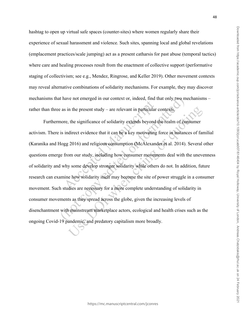hashtag to open up virtual safe spaces (counter-sites) where women regularly share their experience of sexual harassment and violence. Such sites, spanning local and global revelations (emplacement practices/scale jumping) act as a present catharsis for past abuse (temporal tactics) where care and healing processes result from the enactment of collective support (performative staging of collectivism; see e.g., Mendez, Ringrose, and Keller 2019). Other movement contexts may reveal alternative combinations of solidarity mechanisms. For example, they may discover mechanisms that have not emerged in our context or, indeed, find that only two mechanisms – rather than three as in the present study – are relevant in particular contexts.

Furthermore, the significance of solidarity extends beyond the realm of consumer activism. There is indirect evidence that it can be a key motivating force in instances of familial (Karanika and Hogg 2016) and religious consumption (McAlexander et al. 2014). Several other questions emerge from our study, including how consumer movements deal with the unevenness of solidarity and why some develop stronger solidarity while others do not. In addition, future research can examine how solidarity itself may become the site of power struggle in a consumer movement. Such studies are necessary for a more complete understanding of solidarity in consumer movements as they spread across the globe, given the increasing levels of disenchantment with mainstream marketplace actors, ecological and health crises such as the ongoing Covid-19 pandemic, and predatory capitalism more broadly.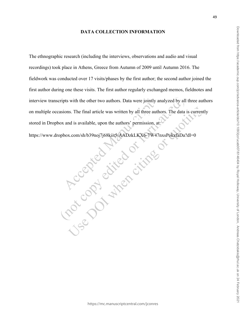#### **DATA COLLECTION INFORMATION**

The ethnographic research (including the interviews, observations and audio and visual recordings) took place in Athens, Greece from Autumn of 2009 until Autumn 2016. The fieldwork was conducted over 17 visits/phases by the first author; the second author joined the first author during one these visits. The first author regularly exchanged memos, fieldnotes and interview transcripts with the other two authors. Data were jointly analyzed by all three authors stored in Dropbox and is available, upon the authors' permission, at:

https://www.dropbox.com/sh/b39noj7j68kiit5/AADzkLKX6-7W47nxsPokzfaDa?dl=0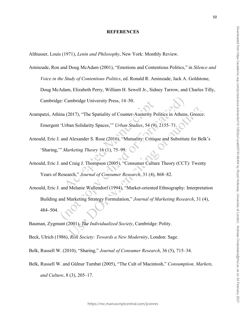#### **REFERENCES**

Althusser, Louis (1971), *Lenin and Philosophy*, New York: Monthly Review.

- Aminzade, Ron and Doug McAdam (2001), "Emotions and Contentious Politics," in *Silence and Voice in the Study of Contentious Politics*, ed. Ronald R. Aminzade, Jack A. Goldstone, Doug McAdam, Elizabeth Perry, William H. Sewell Jr., Sidney Tarrow, and Charles Tilly, Cambridge: Cambridge University Press, 14–50.
- Arampatzi, Athina (2017), "The Spatiality of Counter-Austerity Politics in Athens, Greece: Emergent 'Urban Solidarity Spaces,'" *Urban Studies*, 54 (9), 2155–71.
- Arnould, Eric J. and Alexander S. Rose (2016), "Mutuality: Critique and Substitute for Belk's 'Sharing,'" *Marketing Theory* 16 (1), 75–99.
- Arnould, Eric J. and Craig J. Thompson (2005), "Consumer Culture Theory (CCT): Twenty Years of Research," *Journal of Consumer Research*, 31 (4), 868–82.
- Arnould, Eric J. and Melanie Wallendorf (1994), "Market-oriented Ethnography: Interpretation Building and Marketing Strategy Formulation," *Journal of Marketing Research*, 31 (4), 484–504.
- Bauman, Zygmunt (2001), *The Individualized Society*, Cambridge: Polity.
- Beck, Ulrich (1986), *Risk Society: Towards a New Modernity*, London: Sage.
- Belk, Russell W. (2010), "Sharing," *Journal of Consumer Research*, 36 (5), 715–34.
- Belk, Russell W. and Gülnur Tumbat (2005), "The Cult of Macintosh," *Consumption, Markets, and Culture*, 8 (3), 205–17.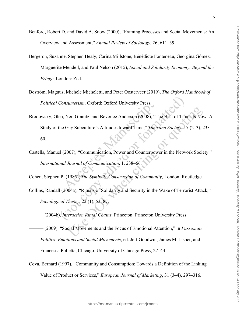- Benford, Robert D. and David A. Snow (2000), "Framing Processes and Social Movements: An Overview and Assessment," *Annual Review of Sociology*, 26, 611–39.
- Bergeron, Suzanne, Stephen Healy, Carina Millstone, Bénédicte Fonteneau, Georgina Gómez, Marguerite Mendell, and Paul Nelson (2015), *Social and Solidarity Economy: Beyond the Fringe*, London: Zed.
- Boström, Magnus, Michele Micheletti, and Peter Oosterveer (2019), *The Oxford Handbook of Political Consumerism*. Oxford: Oxford University Press.
- Brodowsky, Glen, Neil Granitz, and Beverlee Anderson (2008), "The Best of Times Is Now: A Study of the Gay Subculture's Attitudes toward Time," *Time and Society*, 17 (2–3), 233– 60.
- Castells, Manuel (2007), "Communication, Power and Counterpower in the Network Society." *International Journal of Communication*, 1, 238–66.
- Cohen, Stephen P. (1985), *The Symbolic Construction of Community*, London: Routledge.
- Collins, Randall (2004a), "Rituals of Solidarity and Security in the Wake of Terrorist Attack," *Sociological Theory*, 22 (1), 53–87.
- ——— (2004b), *Interaction Ritual Chains*. Princeton: Princeton University Press.
- ——— (2009), "Social Movements and the Focus of Emotional Attention," in *Passionate Politics: Emotions and Social Movements*, ed. Jeff Goodwin, James M. Jasper, and Francesca Polletta, Chicago: University of Chicago Press, 27–44.
- Cova, Bernard (1997), "Community and Consumption: Towards a Definition of the Linking Value of Product or Services," *European Journal of Marketing*, 31 (3–4), 297–316.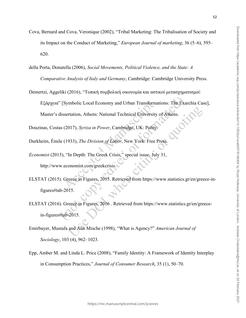- Cova, Bernard and Cova, Veronique (2002), "Tribal Marketing: The Tribalisation of Society and its Impact on the Conduct of Marketing," *European Journal of marketing*, 36 (5–6), 595– 620.
- della Porta, Donatella (2006), *Social Movements, Political Violence, and the State: A Comparative Analysis of Italy and Germany*, Cambridge: Cambridge University Press.
- Demertzi, Aggeliki (2016), "Τοπική συμβολική οικονομία και αστικοί μετασχηματισμοί: Εξάρχεια" [Symbolic Local Economy and Urban Transformations: The Exarchia Case], Master's dissertation, Athens: National Technical University of Athens.

Douzinas, Costas (2017), *Syriza in Power*, Cambridge, UK: Polity.

- Durkheim, Émile (1933), *The Division of Labor*, New York: Free Press.
- *Economist* (2015), "In Depth: The Greek Crisis," special issue, July 31, http://www.economist.com/greekcrisis.
- ELSTAT (2015). Greece in Figures, 2015. Retrieved from https://www.statistics.gr/en/greece-infigures#tab-2015.
- ELSTAT (2016). Greece in Figures, 2016 . Retrieved from https://www.statistics.gr/en/greecein-figures#tab-2015.
- Emirbayer, Mustafa and Ann Mische (1998), "What is Agency?" *American Journal of Sociology*, 103 (4), 962–1023.
- Epp, Amber M. and Linda L. Price (2008), "Family Identity: A Framework of Identity Interplay in Consumption Practices," *Journal of Consumer Research*, 35 (1), 50–70.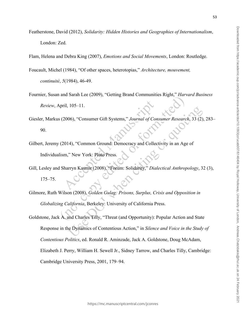- Featherstone, David (2012), *Solidarity: Hidden Histories and Geographies of Internationalism*, London: Zed.
- Flam, Helena and Debra King (2007), *Emotions and Social Movements*, London: Routledge.
- Foucault, Michel (1984), "Of other spaces, heterotopias," *Architecture, mouvement, continuité*, *5*(1984), 46-49.
- Fournier, Susan and Sarah Lee (2009), "Getting Brand Communities Right," *Harvard Business Review*, April, 105–11.
- Giesler, Markus (2006), "Consumer Gift Systems," *Journal of Consumer Research*, 33 (2), 283– 90.
- Gilbert, Jeremy (2014), "Common Ground: Democracy and Collectivity in an Age of Individualism," New York: Pluto Press.
- Gill, Lesley and Sharryn Kasmir (2008), "Forum: Solidarity," *Dialectical Anthropology*, 32 (3), 175–75.
- Gilmore, Ruth Wilson (2008), *Golden Gulag: Prisons, Surplus, Crisis and Opposition in Globalizing California*, Berkeley: University of California Press.
- Goldstone, Jack A. and Charles Tilly, "Threat (and Opportunity): Popular Action and State Response in the Dynamics of Contentious Action," in *Silence and Voice in the Study of Contentious Politics*, ed. Ronald R. Aminzade, Jack A. Goldstone, Doug McAdam, Elizabeth J. Perry, William H. Sewell Jr., Sidney Tarrow, and Charles Tilly, Cambridge: Cambridge University Press, 2001, 179–94.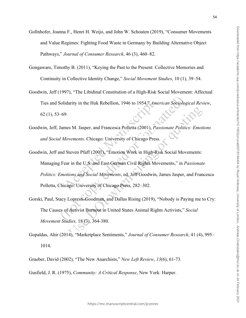- Gollnhofer, Joanna F., Henri H. Weijo, and John W. Schouten (2019), "Consumer Movements and Value Regimes: Fighting Food Waste in Germany by Building Alternative Object Pathways," *Journal of Consumer Research*, 46 (3), 460–82.
- Gongaware, Timothy B. (2011), "Keying the Past to the Present: Collective Memories and Continuity in Collective Identity Change," *Social Movement Studies*, 10 (1), 39–54.
- Goodwin, Jeff (1997), "The Libidinal Constitution of a High-Risk Social Movement: Affectual Ties and Solidarity in the Huk Rebellion, 1946 to 1954," *American Sociological Review*, 62 (1), 53–69.
- Goodwin, Jeff, James M. Jasper, and Francesca Polletta (2001), *Passionate Politics: Emotions and Social Movements*. Chicago: University of Chicago Press.
- Goodwin, Jeff and Steven Pfaff (2001), "Emotion Work in High-Risk Social Movements: Managing Fear in the U.S. and East German Civil Rights Movements," in *Passionate Politics: Emotions and Social Movements*, ed. Jeff Goodwin, James Jasper, and Francesca Polletta, Chicago: University of Chicago Press, 282–302.
- Gorski, Paul, Stacy Lopresti-Goodman, and Dallas Rising (2019), "Nobody is Paying me to Cry: The Causes of Activist Burnout in United States Animal Rights Activists," *Social Movement Studies,* 18 (3), 364-380.
- Gopaldas, Ahir (2014), "Marketplace Sentiments," *Journal of Consumer Research*, 41 (4), 995– 1014.
- Graeber, David (2002), "The New Anarchists," *New Left Review*, *13*(6), 61-73.
- Gusfield, J. R. (1975), *Community: A Critical Response*, New York: Harper.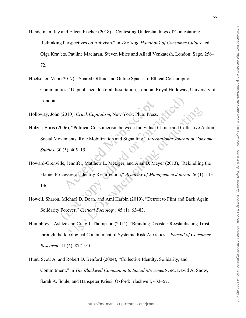- Handelman, Jay and Eileen Fischer (2018), "Contesting Understandings of Contestation:
	- Rethinking Perspectives on Activism," in *The Sage Handbook of Consumer Culture*, ed.
	- Olga Kravets, Pauline Maclaran, Steven Miles and Alladi Venkatesh, London: Sage, 256– 72.
- Hoelscher, Vera (2017), "Shared Offline and Online Spaces of Ethical Consumption Communities," Unpublished doctoral dissertation, London: Royal Holloway, University of London.
- Holloway, John (2010), *Crack Capitalism*, New York: Pluto Press.
- Holzer, Boris (2006), "Political Consumerism between Individual Choice and Collective Action: Social Movements, Role Mobilization and Signalling," *International Journal of Consumer Studies*, 30 (5), 405–15.
- Howard-Grenville, Jennifer, Matthew L. Metzger, and Alan D. Meyer (2013), "Rekindling the Flame: Processes of Identity Resurrection," *Academy of Management Journal*, 56(1), 113- 136.
- Howell, Sharon, Michael D. Doan, and Ami Harbin (2019), "Detroit to Flint and Back Again: Solidarity Forever," *Critical Sociology*, 45 (1), 63–83.
- Humphreys, Ashlee and Craig J. Thompson (2014), "Branding Disaster: Reestablishing Trust through the Ideological Containment of Systemic Risk Anxieties," *Journal of Consumer Research*, 41 (4), 877–910.
- Hunt, Scott A. and Robert D. Benford (2004), "Collective Identity, Solidarity, and Commitment," in *The Blackwell Companion to Social Movements*, ed. David A. Snow, Sarah A. Soule, and Hanspeter Kriesi, Oxford: Blackwell, 433–57.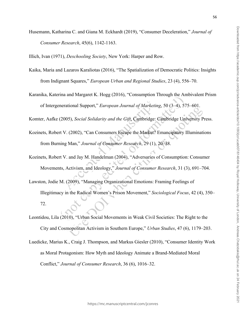- Husemann, Katharina C. and Giana M. Eckhardt (2019), "Consumer Deceleration," *Journal of Consumer Research*, 45(6), 1142-1163.
- Illich, Ivan (1971), *Deschooling Society*, New York: Harper and Row.
- Kaika, Maria and Lazaros Karaliotas (2016), "The Spatialization of Democratic Politics: Insights from Indignant Squares," *European Urban and Regional Studies*, 23 (4), 556–70.
- Karanika, Katerina and Margaret K. Hogg (2016), "Consumption Through the Ambivalent Prism of Intergenerational Support," *European Journal of Marketing*, 50 (3–4), 575–601.

Komter, Aafke (2005), *Social Solidarity and the Gift*, Cambridge: Cambridge University Press.

- Kozinets, Robert V. (2002), "Can Consumers Escape the Market? Emancipatory Illuminations from Burning Man," *Journal of Consumer Research*, 29 (1), 20–38.
- Kozinets, Robert V. and Jay M. Handelman (2004), "Adversaries of Consumption: Consumer Movements, Activism, and Ideology," *Journal of Consumer Research*, 31 (3), 691–704.
- Lawston, Jodie M. (2009), "Managing Organizational Emotions: Framing Feelings of Illegitimacy in the Radical Women's Prison Movement," *Sociological Focus*, 42 (4), 350– 72.
- Leontidou, Lila (2010), "Urban Social Movements in Weak Civil Societies: The Right to the City and Cosmopolitan Activism in Southern Europe," *Urban Studies*, 47 (6), 1179–203.
- Luedicke, Marius K., Craig J. Thompson, and Markus Giesler (2010), "Consumer Identity Work as Moral Protagonism: How Myth and Ideology Animate a Brand-Mediated Moral Conflict," *Journal of Consumer Research*, 36 (6), 1016–32.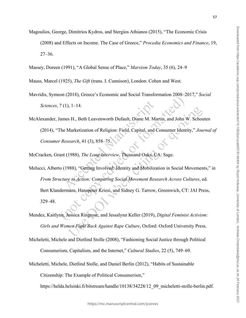Magoulios, George, Dimitrios Kydros, and Stergios Athianos (2015), "The Economic Crisis

(2008) and Effects on Income. The Case of Greece," *Procedia Economics and Finance*, 19, 27–36.

Massey, Doreen (1991), "A Global Sense of Place," *Marxism Today*, 35 (6), 24–9

Mauss, Marcel (1925), *The Gift* (trans. I. Cunnison), London: Cohen and West.

- Mavridis, Symeon (2018), Greece's Economic and Social Transformation 2008–2017," *Social Sciences*, 7 (1), 1–14.
- McAlexander, James H., Beth Leavenworth Dufault, Diane M. Martin, and John W. Schouten (2014), "The Marketization of Religion: Field, Capital, and Consumer Identity," *Journal of Consumer Research*, 41 (3), 858–75.
- McCracken, Grant (1988), *The Long Interview*, Thousand Oaks, CA: Sage.
- Melucci, Alberto (1988), "Getting Involved: Identity and Mobilization in Social Movements," in *From Structure to Action: Comparing Social Movement Research Across Cultures*, ed. Bert Klandermans, Hanspeter Kriesi, and Sidney G. Tarrow, Greenwich, CT: JAI Press, 329–48.
- Mendez, Kaitlynn, Jessica Ringrose, and Jessalynn Keller (2019), *Digital Feminist Activism: Girls and Women Fight Back Against Rape Culture*, Oxford: Oxford University Press.
- Micheletti, Michele and Dietlind Stolle (2008), "Fashioning Social Justice through Political Consumerism, Capitalism, and the Internet," *Cultural Studies*, 22 (5), 749–69.
- Micheletti, Michele, Dietlind Stolle, and Daniel Berlin (2012), "Habits of Sustainable

Citizenship: The Example of Political Consumerism,"

https://helda.helsinki.fi/bitstream/handle/10138/34228/12\_09\_micheletti-stolle-berlin.pdf.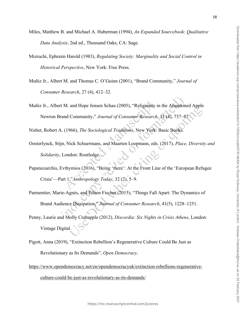- Miles, Matthew B. and Michael A. Huberman (1994), *An Expanded Sourcebook: Qualitative Data Analysis*, 2nd ed., Thousand Oaks, CA: Sage.
- Mizruchi, Ephraim Harold (1983), *Regulating Society: Marginality and Social Control in Historical Perspective*, New York: Free Press.
- Muñiz Jr., Albert M. and Thomas C. O'Guinn (2001), "Brand Community," *Journal of Consumer Research*, 27 (4), 412–32.
- Muñiz Jr., Albert M. and Hope Jensen Schau (2005), "Religiosity in the Abandoned Apple Newton Brand Community," *Journal of Consumer Research*, 31 (4), 737–

Nisbet, Robert A. (1966), *The Sociological Traditions*, New York: Basic Books.

- Oosterlynck, Stijn, Nick Schuermans, and Maarten Loopmans, eds. (2017), *Place, Diversity and Solidarity*, London: Routledge.
- Papataxiarchis, Evthymios (2016), "Being 'there': At the Front Line of the 'European Refugee Crisis'—Part 1,"*Anthropology Today*, 32 (2), 5–9.
- Parmentier, Marie-Agnès, and Eileen Fischer (2015), "Things Fall Apart: The Dynamics of Brand Audience Dissipation," *Journal of Consumer Research*, 41(5), 1228–1251.
- Penny, Laurie and Molly Crabapple (2012), *Discordia: Six Nights in Crisis Athens*, London: Vintage Digital.
- Pigott, Anna (2019), "Extinction Rebellion's Regenerative Culture Could Be Just as Revolutionary as Its Demands", *Open Democracy,*
- [https://www.opendemocracy.net/en/opendemocracyuk/extinction-rebellions-regenerative-](https://www.opendemocracy.net/en/opendemocracyuk/extinction-rebellions-regenerative-culture-could-be-just-as-revolutionary-as-its-demands/)

[culture-could-be-just-as-revolutionary-as-its-demands/](https://www.opendemocracy.net/en/opendemocracyuk/extinction-rebellions-regenerative-culture-could-be-just-as-revolutionary-as-its-demands/)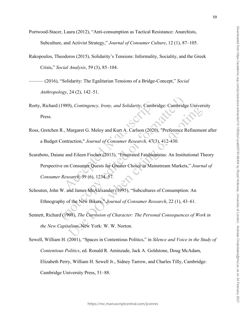Portwood-Stacer, Laura (2012), "Anti-consumption as Tactical Resistance: Anarchists,

Subculture, and Activist Strategy," *Journal of Consumer Culture*, 12 (1), 87–105.

- Rakopoulos, Theodoros (2015), Solidarity's Tensions: Informality, Sociality, and the Greek Crisis," *Social Analysis*, 59 (3), 85–104.
- ——— (2016), "Solidarity: The Egalitarian Tensions of a Bridge-Concept," *Social Anthropology*, 24 (2), 142–51.
- Rorty, Richard (1989), *Contingency, Irony, and Solidarity*, Cambridge: Cambridge University Press.
- Ross, Gretchen R., Margaret G. Meloy and Kurt A. Carlson (2020), "Preference Refinement after a Budget Contraction," *Journal of Consumer Research,* 47(3), 412-430.
- Scaraboto, Daiane and Eileen Fischer (2013), "Frustrated Fatshionistas: An Institutional Theory Perspective on Consumer Quests for Greater Choice in Mainstream Markets," *Journal of Consumer Research*, 39 (6), 1234–57.
- Schouten, John W. and James McAlexander (1995), "Subcultures of Consumption: An Ethnography of the New Bikers," *Journal of Consumer Research*, 22 (1), 43–61.
- Sennett, Richard (1998), *The Corrosion of Character: The Personal Consequences of Work in the New Capitalism*, New York: W. W. Norton.
- Sewell, William H. (2001), "Spaces in Contentious Politics," in *Silence and Voice in the Study of Contentious Politics*, ed. Ronald R. Aminzade, Jack A. Goldstone, Doug McAdam, Elizabeth Perry, William H. Sewell Jr., Sidney Tarrow, and Charles Tilly, Cambridge: Cambridge University Press, 51–88.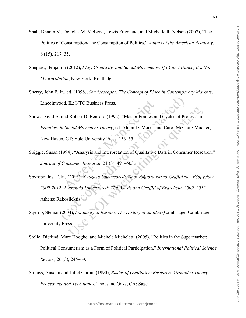- Shah, Dharan V., Douglas M. McLeod, Lewis Friedland, and Michelle R. Nelson (2007), "The Politics of Consumption/The Consumption of Politics," *Annals of the American Academy*, 6 (15), 217–35.
- Shepard, Benjamin (2012), *Play, Creativity, and Social Movements: If I Can't Dance, It's Not My Revolution*, New York: Routledge.
- Sherry, John F. Jr., ed. (1998), *Servicescapes: The Concept of Place in Contemporary Markets*, Lincolnwood, IL: NTC Business Press.
- Snow, David A. and Robert D. Benford (1992), "Master Frames and Cycles of Protest," in *Frontiers in Social Movement Theory*, ed. Aldon D. Morris and Carol McClurg Mueller, New Haven, CT: Yale University Press, 133–55
- Spiggle, Susan (1994), "Analysis and Interpretation of Qualitative Data in Consumer Research," *Journal of Consumer Research*, 21 (3), 491–503.
- Spyropoulos, Takis (2013), *Χ-άρχεια Uncensored: Τα συνθήματα και τα Graffiti τών Εξαρχείων 2009-2012* [*X-archeia Uncensored: The Words and Graffiti of Exarcheia, 2009–2012*], Athens: Rakosilektis.
- Stjernø, Steinar (2004), *Solidarity in Europe: The History of an Idea* (Cambridge: Cambridge University Press).
- Stolle, Dietlind, Marc Hooghe, and Michele Micheletti (2005), "Politics in the Supermarket: Political Consumerism as a Form of Political Participation," *International Political Science Review*, 26 (3), 245–69.
- Strauss, Anselm and Juliet Corbin (1990), *Basics of Qualitative Research: Grounded Theory Procedures and Techniques*, Thousand Oaks, CA: Sage.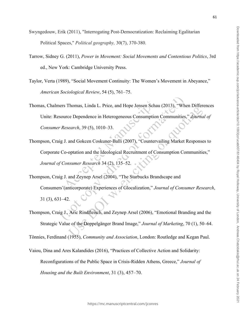- Swyngedouw, Erik (2011), "Interrogating Post-Democratization: Reclaiming Egalitarian Political Spaces," *Political geography,* 30(7), 370-380.
- Tarrow, Sidney G. (2011), *Power in Movement: Social Movements and Contentious Politics*, 3rd ed., New York: Cambridge University Press.
- Taylor, Verta (1989), "Social Movement Continuity: The Women's Movement in Abeyance," *American Sociological Review*, 54 (5), 761–75.
- Thomas, Chalmers Thomas, Linda L. Price, and Hope Jensen Schau (2013), "When Differences Unite: Resource Dependence in Heterogeneous Consumption Communities," *Journal of Consumer Research*, 39 (5), 1010–33.
- Thompson, Craig J. and Gokcen Coskuner‐Balli (2007), "Countervailing Market Responses to Corporate Co-optation and the Ideological Recruitment of Consumption Communities," *Journal of Consumer Research* 34 (2), 135–52.
- Thompson, Craig J. and Zeynep Arsel (2004), "The Starbucks Brandscape and Consumers'(anticorporate) Experiences of Glocalization," *Journal of Consumer Research*, 31 (3), 631–42.
- Thompson, Craig J., Aric Rindfleisch, and Zeynep Arsel (2006), "Emotional Branding and the Strategic Value of the Doppelgänger Brand Image," *Journal of Marketing*, 70 (1), 50–64.

Tönnies, Ferdinand (1955), *Community and Association*, London: Routledge and Kegan Paul.

Vaiou, Dina and Ares Kalandides (2016), "Practices of Collective Action and Solidarity:

Reconfigurations of the Public Space in Crisis-Ridden Athens, Greece," *Journal of* 

*Housing and the Built Environment*, 31 (3), 457–70.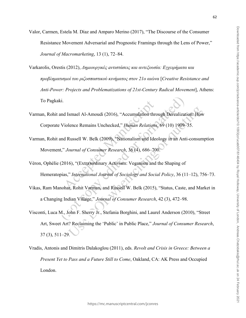- Valor, Carmen, Estela M. Díaz and Amparo Merino (2017), "The Discourse of the Consumer Resistance Movement Adversarial and Prognostic Framings through the Lens of Power," *Journal of Macromarketing*, 13 (1), 72–84.
- Varkarolis, Orestis (2012), *Δημιουργικές aντιστάσεις και αντεξουσία: Εγχειρήματα και προβληματισμοί του ριζοσπαστικού κινήματος στον 21ο αιώνα* [*Creative Resistance and Anti-Power: Projects and Problematizations of 21st-Century Radical Movement*], Athens: To Pagkaki.
- Varman, Rohit and Ismael Al-Amoudi (2016), "Accumulation through Derealization: How Corporate Violence Remains Unchecked," *Human Relations*, 69 (10) 1909–35.
- Varman, Rohit and Russell W. Belk (2009), "Nationalism and Ideology in an Anti-consumption Movement," *Journal of Consumer Research*, 36 (4), 686–700.
- Véron, Ophélie (2016), "(Extra)ordinary Activism: Veganism and the Shaping of Hemeratopias," *International Journal of Sociology and Social Policy*, 36 (11–12), 756–73.
- Vikas, Ram Manohar, Rohit Varman, and Russell W. Belk (2015), "Status, Caste, and Market in a Changing Indian Village," *Journal of Consumer Research*, 42 (3), 472–98.
- Visconti, Luca M., John F. Sherry Jr., Stefania Borghini, and Laurel Anderson (2010), "Street Art, Sweet Art? Reclaiming the 'Public' in Public Place," *Journal of Consumer Research*, 37 (3), 511–29.
- Vradis, Antonis and Dimitris Dalakoglou (2011), eds. *Revolt and Crisis in Greece: Between a Present Yet to Pass and a Future Still to Come*, Oakland, CA: AK Press and Occupied London.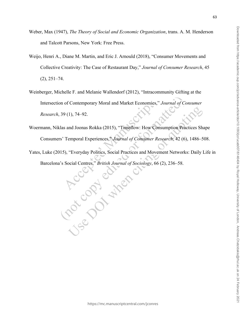- Weber, Max (1947), *The Theory of Social and Economic Organization*, trans. A. M. Henderson and Talcott Parsons, New York: Free Press.
- Weijo, Henri A., Diane M. Martin, and Eric J. Arnould (2018), "Consumer Movements and Collective Creativity: The Case of Restaurant Day," *Journal of Consumer Research*, 45 (2), 251–74.
- Weinberger, Michelle F. and Melanie Wallendorf (2012), "Intracommunity Gifting at the Intersection of Contemporary Moral and Market Economies," *Journal of Consumer Research*, 39 (1), 74–92.
- Woermann, Niklas and Joonas Rokka (2015), "Timeflow: How Consumption Practices Shape Consumers' Temporal Experiences," *Journal of Consumer Research*, 42 (6), 1486–508.
- Yates, Luke (2015), "Everyday Politics, Social Practices and Movement Networks: Daily Life in<br>Barcelona's Social Centres," *British Journal of Sociology*, 66 (2), 236–58. Barcelona's Social Centres," *British Journal of Sociology*, 66 (2), 236–58.